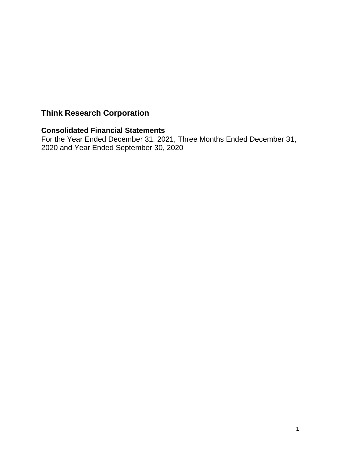# **Think Research Corporation**

# **Consolidated Financial Statements**

For the Year Ended December 31, 2021, Three Months Ended December 31, 2020 and Year Ended September 30, 2020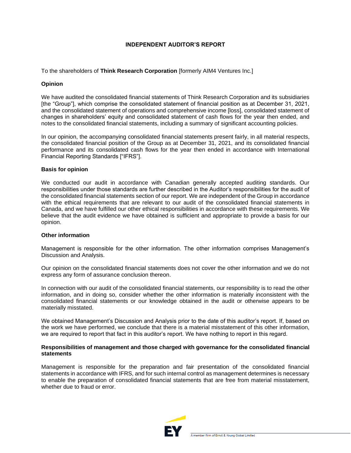#### **INDEPENDENT AUDITOR'S REPORT**

To the shareholders of **Think Research Corporation** [formerly AIM4 Ventures Inc.]

#### **Opinion**

We have audited the consolidated financial statements of Think Research Corporation and its subsidiaries [the "Group"], which comprise the consolidated statement of financial position as at December 31, 2021, and the consolidated statement of operations and comprehensive income [loss], consolidated statement of changes in shareholders' equity and consolidated statement of cash flows for the year then ended, and notes to the consolidated financial statements, including a summary of significant accounting policies.

In our opinion, the accompanying consolidated financial statements present fairly, in all material respects, the consolidated financial position of the Group as at December 31, 2021, and its consolidated financial performance and its consolidated cash flows for the year then ended in accordance with International Financial Reporting Standards ["IFRS"].

#### **Basis for opinion**

We conducted our audit in accordance with Canadian generally accepted auditing standards. Our responsibilities under those standards are further described in the Auditor's responsibilities for the audit of the consolidated financial statements section of our report. We are independent of the Group in accordance with the ethical requirements that are relevant to our audit of the consolidated financial statements in Canada, and we have fulfilled our other ethical responsibilities in accordance with these requirements. We believe that the audit evidence we have obtained is sufficient and appropriate to provide a basis for our opinion.

#### **Other information**

Management is responsible for the other information. The other information comprises Management's Discussion and Analysis.

Our opinion on the consolidated financial statements does not cover the other information and we do not express any form of assurance conclusion thereon.

In connection with our audit of the consolidated financial statements, our responsibility is to read the other information, and in doing so, consider whether the other information is materially inconsistent with the consolidated financial statements or our knowledge obtained in the audit or otherwise appears to be materially misstated.

We obtained Management's Discussion and Analysis prior to the date of this auditor's report. If, based on the work we have performed, we conclude that there is a material misstatement of this other information, we are required to report that fact in this auditor's report. We have nothing to report in this regard.

#### **Responsibilities of management and those charged with governance for the consolidated financial statements**

Management is responsible for the preparation and fair presentation of the consolidated financial statements in accordance with IFRS, and for such internal control as management determines is necessary to enable the preparation of consolidated financial statements that are free from material misstatement, whether due to fraud or error.

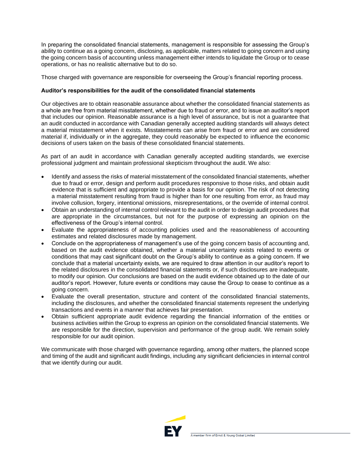In preparing the consolidated financial statements, management is responsible for assessing the Group's ability to continue as a going concern, disclosing, as applicable, matters related to going concern and using the going concern basis of accounting unless management either intends to liquidate the Group or to cease operations, or has no realistic alternative but to do so.

Those charged with governance are responsible for overseeing the Group's financial reporting process.

#### **Auditor's responsibilities for the audit of the consolidated financial statements**

Our objectives are to obtain reasonable assurance about whether the consolidated financial statements as a whole are free from material misstatement, whether due to fraud or error, and to issue an auditor's report that includes our opinion. Reasonable assurance is a high level of assurance, but is not a guarantee that an audit conducted in accordance with Canadian generally accepted auditing standards will always detect a material misstatement when it exists. Misstatements can arise from fraud or error and are considered material if, individually or in the aggregate, they could reasonably be expected to influence the economic decisions of users taken on the basis of these consolidated financial statements.

As part of an audit in accordance with Canadian generally accepted auditing standards, we exercise professional judgment and maintain professional skepticism throughout the audit. We also:

- Identify and assess the risks of material misstatement of the consolidated financial statements, whether due to fraud or error, design and perform audit procedures responsive to those risks, and obtain audit evidence that is sufficient and appropriate to provide a basis for our opinion. The risk of not detecting a material misstatement resulting from fraud is higher than for one resulting from error, as fraud may involve collusion, forgery, intentional omissions, misrepresentations, or the override of internal control.
- Obtain an understanding of internal control relevant to the audit in order to design audit procedures that are appropriate in the circumstances, but not for the purpose of expressing an opinion on the effectiveness of the Group's internal control.
- Evaluate the appropriateness of accounting policies used and the reasonableness of accounting estimates and related disclosures made by management.
- Conclude on the appropriateness of management's use of the going concern basis of accounting and, based on the audit evidence obtained, whether a material uncertainty exists related to events or conditions that may cast significant doubt on the Group's ability to continue as a going concern. If we conclude that a material uncertainty exists, we are required to draw attention in our auditor's report to the related disclosures in the consolidated financial statements or, if such disclosures are inadequate, to modify our opinion. Our conclusions are based on the audit evidence obtained up to the date of our auditor's report. However, future events or conditions may cause the Group to cease to continue as a going concern.
- Evaluate the overall presentation, structure and content of the consolidated financial statements, including the disclosures, and whether the consolidated financial statements represent the underlying transactions and events in a manner that achieves fair presentation.
- Obtain sufficient appropriate audit evidence regarding the financial information of the entities or business activities within the Group to express an opinion on the consolidated financial statements. We are responsible for the direction, supervision and performance of the group audit. We remain solely responsible for our audit opinion.

We communicate with those charged with governance regarding, among other matters, the planned scope and timing of the audit and significant audit findings, including any significant deficiencies in internal control that we identify during our audit.

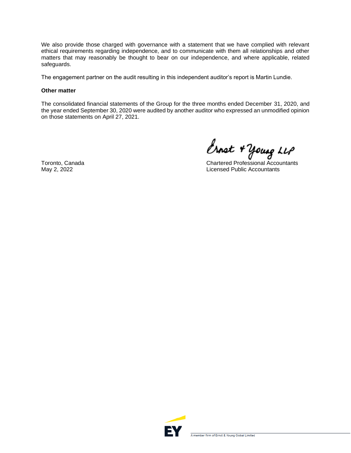We also provide those charged with governance with a statement that we have complied with relevant ethical requirements regarding independence, and to communicate with them all relationships and other matters that may reasonably be thought to bear on our independence, and where applicable, related safeguards.

The engagement partner on the audit resulting in this independent auditor's report is Martin Lundie.

#### **Other matter**

The consolidated financial statements of the Group for the three months ended December 31, 2020, and the year ended September 30, 2020 were audited by another auditor who expressed an unmodified opinion on those statements on April 27, 2021.

Toronto, Canada<br>
Monte Professional Accountants<br>
May 2, 2022<br>
Licensed Public Accountants

Licensed Public Accountants

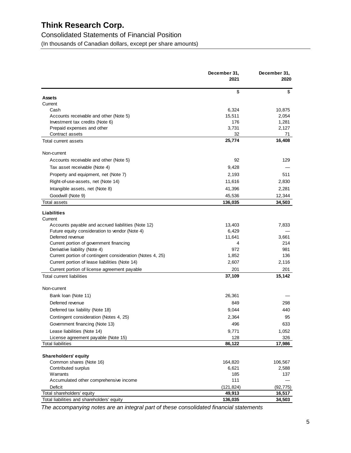# Consolidated Statements of Financial Position

(In thousands of Canadian dollars, except per share amounts)

|                                                           | December 31,<br>2021 | December 31,<br>2020 |
|-----------------------------------------------------------|----------------------|----------------------|
|                                                           | \$                   | \$                   |
| Assets                                                    |                      |                      |
| Current<br>Cash                                           | 6,324                |                      |
| Accounts receivable and other (Note 5)                    | 15,511               | 10,875<br>2,054      |
| Investment tax credits (Note 6)                           | 176                  | 1,281                |
| Prepaid expenses and other                                | 3,731                | 2,127                |
| Contract assets                                           | 32                   | 71                   |
| Total current assets                                      | 25,774               | 16,408               |
| Non-current                                               |                      |                      |
| Accounts receivable and other (Note 5)                    | 92                   | 129                  |
| Tax asset receivable (Note 4)                             | 9,428                |                      |
| Property and equipment, net (Note 7)                      | 2,193                | 511                  |
|                                                           |                      |                      |
| Right-of-use-assets, net (Note 14)                        | 11,616               | 2,830                |
| Intangible assets, net (Note 8)                           | 41,396               | 2,281                |
| Goodwill (Note 9)                                         | 45,536               | 12,344               |
| Total assets                                              | 136,035              | 34,503               |
| Liabilities                                               |                      |                      |
| Current                                                   |                      |                      |
| Accounts payable and accrued liabilities (Note 12)        | 13,403               | 7,833                |
| Future equity consideration to vendor (Note 4)            | 6,429                |                      |
| Deferred revenue                                          | 11,641               | 3,661                |
| Current portion of government financing                   | 4                    | 214                  |
| Derivative liability (Note 4)                             | 972                  | 981                  |
| Current portion of contingent consideration (Notes 4, 25) | 1,852                | 136                  |
| Current portion of lease liabilities (Note 14)            | 2,607                | 2,116                |
| Current portion of license agreement payable              | 201                  | 201                  |
| Total current liabilities                                 | 37,109               | 15,142               |
| Non-current                                               |                      |                      |
| Bank Ioan (Note 11)                                       | 26,361               |                      |
| Deferred revenue                                          | 849                  | 298                  |
| Deferred tax liability (Note 18)                          | 9,044                | 440                  |
| Contingent consideration (Notes 4, 25)                    | 2,364                | 95                   |
| Government financing (Note 13)                            | 496                  | 633                  |
| Lease liabilities (Note 14)                               | 9,771                | 1,052                |
| License agreement payable (Note 15)                       | 128                  | 326                  |
| <b>Total liabilities</b>                                  | 86,122               | 17,986               |
|                                                           |                      |                      |
| <b>Shareholders' equity</b>                               |                      |                      |
| Common shares (Note 16)                                   | 164,820              | 106,567              |
| Contributed surplus                                       | 6,621                | 2,588                |
| Warrants                                                  | 185                  | 137                  |
| Accumulated other comprehensive income                    | 111                  |                      |
| Deficit                                                   | (121, 824)           | (92, 775)            |
| Total shareholders' equity                                | 49,913               | 16,517               |
| Total liabilities and shareholders' equity                | 136,035              | 34,503               |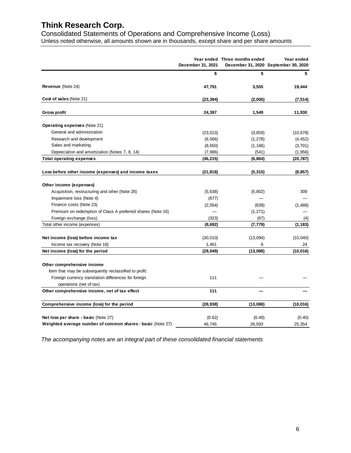Consolidated Statements of Operations and Comprehensive Income (Loss) Unless noted otherwise, all amounts shown are in thousands, except share and per share amounts

|                                                             | December 31, 2021 | Year ended Three months ended | Year ended<br>December 31, 2020 September 30, 2020 |
|-------------------------------------------------------------|-------------------|-------------------------------|----------------------------------------------------|
|                                                             | \$                | \$                            | \$                                                 |
| Revenue (Note 24)                                           | 47,791            | 3,555                         | 19,444                                             |
| Cost of sales (Note 21)                                     | (23, 394)         | (2,006)                       | (7, 514)                                           |
| <b>Gross profit</b>                                         | 24,397            | 1,549                         | 11,930                                             |
| <b>Operating expenses (Note 21)</b>                         |                   |                               |                                                    |
| General and administration                                  | (23, 013)         | (3, 859)                      | (10, 678)                                          |
| Research and development                                    | (6, 566)          | (1,278)                       | (4, 452)                                           |
| Sales and marketing                                         | (8,650)           | (1, 186)                      | (3,701)                                            |
| Depreciation and amortization (Notes 7, 8, 14)              | (7,986)           | (541)                         | (1,956)                                            |
| <b>Total operating expenses</b>                             | (46,215)          | (6, 864)                      | (20, 787)                                          |
| Loss before other income (expenses) and income taxes        | (21, 818)         | (5, 315)                      | (8, 857)                                           |
| Other income (expenses)                                     |                   |                               |                                                    |
| Acquisition, restructuring and other (Note 28)              | (5,638)           | (5,802)                       | 309                                                |
| Impairment loss (Note 4)                                    | (677)             |                               |                                                    |
| Finance costs (Note 23)                                     | (2,054)           | (639)                         | (1,488)                                            |
| Premium on redemption of Class A preferred shares (Note 16) |                   | (1,271)                       |                                                    |
| Foreign exchange (loss)                                     | (323)             | (67)                          | (4)                                                |
| Total other income (expenses)                               | (8,692)           | (7, 779)                      | (1, 183)                                           |
| Net income (loss) before income tax                         | (30, 510)         | (13,094)                      | (10,040)                                           |
| Income tax recovery (Note 18)                               | 1,461             | 6                             | 24                                                 |
| Net income (loss) for the period                            | (29, 049)         | (13,088)                      | (10, 016)                                          |
| Other comprehensive income                                  |                   |                               |                                                    |
| Item that may be subsequently reclassified to profit:       |                   |                               |                                                    |
| Foreign currency translation differences for foreign        | 111               |                               |                                                    |
| operations (net of tax)                                     |                   |                               |                                                    |
| Other comprehensive income, net of tax effect               | 111               |                               |                                                    |
| Comprehensive income (loss) for the period                  | (28, 938)         | (13,088)                      | (10, 016)                                          |
| Net loss per share - basic (Note 27)                        | (0.62)            | (0.49)                        | (0.40)                                             |
| Weighted average number of common shares - basic (Note 27)  | 46,745            | 26,593                        | 25,354                                             |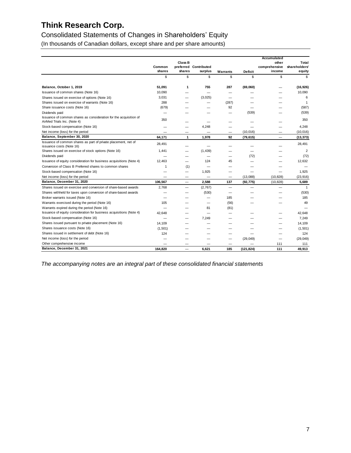# Consolidated Statements of Changes in Shareholders' Equity

(In thousands of Canadian dollars, except share and per share amounts)

|                                                                                                  |                  |                          |                                  |                          |                          | <b>Accumulated</b>      |                         |
|--------------------------------------------------------------------------------------------------|------------------|--------------------------|----------------------------------|--------------------------|--------------------------|-------------------------|-------------------------|
|                                                                                                  |                  | Class B                  |                                  |                          |                          | other                   | Total                   |
|                                                                                                  | Common<br>shares | shares                   | preferred Contributed<br>surplus | Warrants                 | <b>Deficit</b>           | comprehensive<br>income | shareholders'<br>equity |
|                                                                                                  | S                | S                        | \$                               | \$                       | \$                       | \$                      | \$.                     |
|                                                                                                  |                  |                          |                                  |                          |                          |                         |                         |
| Balance, October 1, 2019                                                                         | 51,091           | 1                        | 755                              | 287                      | (69,060)                 |                         | (16, 926)               |
| Issuance of common shares (Note 16)                                                              | 10,090           |                          |                                  |                          |                          |                         | 10,090                  |
| Shares issued on exercise of options (Note 16)                                                   | 3,031            | -                        | (3,025)                          |                          |                          |                         | 6                       |
| Shares issued on exercise of warrants (Note 16)                                                  | 288              |                          |                                  | (287)                    |                          |                         | $\mathbf{1}$            |
| Share issuance costs (Note 16)                                                                   | (679)            |                          |                                  | 92                       |                          |                         | (587)                   |
| Dividends paid                                                                                   |                  |                          |                                  |                          | (539)                    |                         | (539)                   |
| Issuance of common shares as consideration for the acquisition of<br>AirMed Trials Inc. (Note 4) | 350              |                          |                                  |                          |                          |                         | 350                     |
| Stock-based compensation (Note 16)                                                               |                  |                          | 4,248                            |                          |                          |                         | 4,248                   |
| Net income (loss) for the period                                                                 | -                |                          | -                                | -                        | (10, 016)                |                         | (10, 016)               |
| Balance, September 30, 2020                                                                      | 64.171           | 1                        | 1.978                            | 92                       | (79, 615)                | —                       | (13, 373)               |
| Issuance of common shares as part of private placement, net of<br>issuance costs (Note 16)       | 28,491           |                          |                                  |                          |                          |                         | 28,491                  |
| Shares issued on exercise of stock options (Note 16)                                             | 1,441            |                          | (1,439)                          |                          |                          |                         | $\overline{2}$          |
| Dividends paid                                                                                   |                  |                          |                                  |                          | (72)                     |                         | (72)                    |
| Issuance of equity consideration for business acquisitions (Note 4)                              | 12,463           |                          | 124                              | 45                       |                          |                         | 12,632                  |
| Conversion of Class B Preferred shares to common shares                                          | -1               | (1)                      | -                                |                          |                          |                         |                         |
| Stock-based compensation (Note 16)                                                               |                  |                          | 1,925                            |                          |                          |                         | 1,925                   |
| Net income (loss) for the period                                                                 |                  |                          | $\overline{\phantom{0}}$         | $\overline{\phantom{0}}$ | (13,088)                 | (10, 828)               | (23, 916)               |
| Balance, December 31, 2020                                                                       | 106.567          | $\overline{\phantom{0}}$ | 2.588                            | 137                      | (92, 775)                | (10.828)                | 5.689                   |
| Shares issued on exercise and conversion of share-based awards                                   | 2.768            | $\overline{\phantom{0}}$ | (2,767)                          | $\overline{\phantom{0}}$ | $\overline{\phantom{0}}$ | -                       | $\overline{1}$          |
| Shares withheld for taxes upon conversion of share-based awards                                  |                  |                          | (530)                            | -                        |                          |                         | (530)                   |
| Broker warrants issued (Note 16)                                                                 |                  |                          | -                                | 185                      |                          |                         | 185                     |
| Warrants exercised during the period (Note 16)                                                   | 105              |                          | -                                | (56)                     |                          |                         | 49                      |
| Warrants expired during the period (Note 16)                                                     |                  |                          | 81                               | (81)                     |                          |                         |                         |
| Issuance of equity consideration for business acquisitions (Note 4)                              | 42.648           |                          |                                  |                          |                          |                         | 42,648                  |
| Stock-based compensation (Note 16)                                                               |                  |                          | 7.249                            |                          |                          |                         | 7,249                   |
| Shares issued pursuant to private placement (Note 16)                                            | 14,109           |                          |                                  |                          |                          |                         | 14,109                  |
| Shares issuance costs (Note 16)                                                                  | (1,501)          |                          |                                  |                          |                          |                         | (1,501)                 |
| Shares issued in settlement of debt (Note 16)                                                    | 124              |                          |                                  |                          |                          |                         | 124                     |
| Net income (loss) for the period                                                                 |                  |                          |                                  |                          | (29, 049)                |                         | (29, 049)               |
| Other comprehensive income                                                                       |                  |                          |                                  |                          |                          | 111                     | 111                     |
| Balance, December 31, 2021                                                                       | 164.820          | $\overline{\phantom{0}}$ | 6,621                            | 185                      | (121.824)                | 111                     | 49.913                  |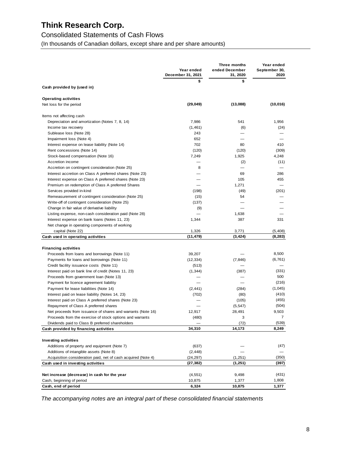# Consolidated Statements of Cash Flows

(In thousands of Canadian dollars, except share and per share amounts)

|                                                                                                    | Year ended<br>December 31, 2021 | <b>Three months</b><br>ended December<br>31, 2020 | Year ended<br>September 30,<br>2020 |
|----------------------------------------------------------------------------------------------------|---------------------------------|---------------------------------------------------|-------------------------------------|
|                                                                                                    | \$                              | \$                                                |                                     |
| Cash provided by (used in)                                                                         |                                 |                                                   |                                     |
| <b>Operating activities</b>                                                                        |                                 |                                                   |                                     |
| Net loss for the period                                                                            | (29, 049)                       | (13,088)                                          | (10, 016)                           |
| Items not affecting cash                                                                           |                                 |                                                   |                                     |
| Depreciation and amortization (Notes 7, 8, 14)                                                     | 7,986                           | 541                                               | 1,956                               |
| Income tax recovery                                                                                | (1,461)                         | (6)                                               | (24)                                |
| Sublease loss (Note 28)                                                                            | 243                             |                                                   |                                     |
| Impairment loss (Note 4)                                                                           | 652                             |                                                   |                                     |
| Interest expense on lease liability (Note 14)                                                      | 702                             | 80                                                | 410                                 |
| Rent concessions (Note 14)                                                                         | (120)                           | (120)                                             | (309)                               |
| Stock-based compensation (Note 16)                                                                 | 7,249                           | 1,925                                             | 4,248                               |
| Accretion income                                                                                   |                                 | (2)                                               | (11)                                |
| Accretion on contingent consideration (Note 25)                                                    | 8                               |                                                   |                                     |
| Interest accretion on Class A preferred shares (Note 23)                                           |                                 | 69                                                | 286                                 |
| Interest expense on Class A preferred shares (Note 23)                                             |                                 | 105                                               | 455                                 |
| Premium on redemption of Class A preferred Shares                                                  |                                 | 1,271                                             |                                     |
| Services provided in-kind                                                                          | (198)                           | (49)                                              | (201)                               |
| Remeasurement of contingent consideration (Note 25)                                                | (15)                            | 54                                                |                                     |
| Write-off of contingent consideration (Note 25)                                                    | (137)                           |                                                   |                                     |
| Change in fair value of derivative liability                                                       | (9)                             |                                                   |                                     |
| Listing expense, non-cash consideration paid (Note 28)                                             |                                 | 1,638                                             |                                     |
| Interest expense on bank loans (Notes 11, 23)                                                      | 1,344                           | 387                                               | 331                                 |
| Net change in operating components of working                                                      |                                 |                                                   |                                     |
| capital (Note 22)                                                                                  | 1,326                           | 3,771                                             | (5,408)                             |
| Cash used in operating activities                                                                  | (11, 479)                       | (3,424)                                           | (8, 283)                            |
| <b>Financing activities</b>                                                                        |                                 |                                                   |                                     |
| Proceeds from loans and borrowings (Note 11)                                                       | 39,207                          |                                                   | 8,500                               |
| Payments for loans and borrowings (Note 11)                                                        | (12, 334)                       | (7, 846)                                          | (6, 761)                            |
| Credit facility issuance costs (Note 11)                                                           | (513)                           |                                                   |                                     |
| Interest paid on bank line of credit (Notes 11, 23)                                                | (1, 344)                        | (387)                                             | (331)                               |
| Proceeds from government loan (Note 13)                                                            |                                 |                                                   | 500                                 |
| Payment for licence agreement liability                                                            |                                 |                                                   | (216)                               |
| Payment for lease liabilities (Note 14)                                                            | (2, 441)                        | (284)                                             | (1,045)                             |
| Interest paid on lease liability (Notes 14, 23)                                                    | (702)                           | (80)                                              | (410)                               |
| Interest paid on Class A preferred shares (Note 23)                                                |                                 | (105)                                             | (455)                               |
| Repayment of Class A preferred shares                                                              |                                 | (5, 547)                                          | (504)                               |
| Net proceeds from issuance of shares and warrants (Note 16)                                        | 12,917                          | 28,491                                            | 9,503                               |
| Proceeds from the exercise of stock options and warrants                                           | (480)                           | 3                                                 | 7                                   |
| Dividends paid to Class B preferred shareholders                                                   |                                 | (72)                                              | (539)                               |
| Cash provided by financing activities                                                              | 34,310                          | 14,173                                            | 8,249                               |
| <b>Investing activities</b>                                                                        |                                 |                                                   |                                     |
| Additions of property and equipment (Note 7)                                                       | (637)                           |                                                   | (47)                                |
| Additions of intangible assets (Note 8)                                                            | (2, 448)                        |                                                   |                                     |
|                                                                                                    |                                 |                                                   | (350)                               |
| Acquisition consideration paid, net of cash acquired (Note 4)<br>Cash used in investing activities | (24, 297)<br>(27, 382)          | (1,251)<br>(1,251)                                | (397)                               |
|                                                                                                    |                                 |                                                   |                                     |
| Net increase (decrease) in cash for the year                                                       | (4, 551)                        | 9,498                                             | (431)                               |
| Cash, beginning of period                                                                          | 10,875                          | 1,377                                             | 1,808                               |
| Cash, end of period                                                                                | 6,324                           | 10,875                                            | 1,377                               |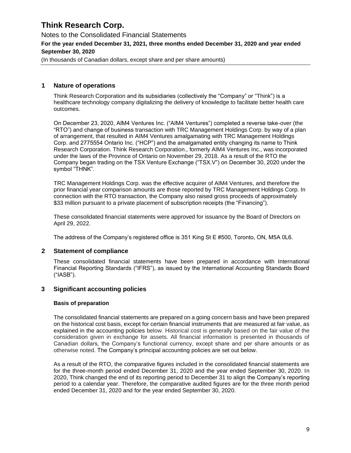Notes to the Consolidated Financial Statements **For the year ended December 31, 2021, three months ended December 31, 2020 and year ended September 30, 2020** 

(In thousands of Canadian dollars, except share and per share amounts)

## **1 Nature of operations**

Think Research Corporation and its subsidiaries (collectively the "Company" or "Think") is a healthcare technology company digitalizing the delivery of knowledge to facilitate better health care outcomes.

On December 23, 2020, AIM4 Ventures Inc. ("AIM4 Ventures") completed a reverse take-over (the "RTO") and change of business transaction with TRC Management Holdings Corp. by way of a plan of arrangement, that resulted in AIM4 Ventures amalgamating with TRC Management Holdings Corp. and 2775554 Ontario Inc. ("HCP") and the amalgamated entity changing its name to Think Research Corporation. Think Research Corporation., formerly AIM4 Ventures Inc., was incorporated under the laws of the Province of Ontario on November 29, 2018. As a result of the RTO the Company began trading on the TSX Venture Exchange ("TSX.V") on December 30, 2020 under the symbol "THNK".

TRC Management Holdings Corp. was the effective acquirer of AIM4 Ventures, and therefore the prior financial year comparison amounts are those reported by TRC Management Holdings Corp. In connection with the RTO transaction, the Company also raised gross proceeds of approximately \$33 million pursuant to a private placement of subscription receipts (the "Financing").

These consolidated financial statements were approved for issuance by the Board of Directors on April 29, 2022.

The address of the Company's registered office is 351 King St E #500, Toronto, ON, M5A 0L6.

## **2 Statement of compliance**

These consolidated financial statements have been prepared in accordance with International Financial Reporting Standards ("IFRS"), as issued by the International Accounting Standards Board ("IASB").

## **3 Significant accounting policies**

#### **Basis of preparation**

The consolidated financial statements are prepared on a going concern basis and have been prepared on the historical cost basis, except for certain financial instruments that are measured at fair value, as explained in the accounting policies below. Historical cost is generally based on the fair value of the consideration given in exchange for assets. All financial information is presented in thousands of Canadian dollars, the Company's functional currency, except share and per share amounts or as otherwise noted. The Company's principal accounting policies are set out below.

As a result of the RTO, the comparative figures included in the consolidated financial statements are for the three-month period ended December 31, 2020 and the year ended September 30, 2020. In 2020, Think changed the end of its reporting period to December 31 to align the Company's reporting period to a calendar year. Therefore, the comparative audited figures are for the three month period ended December 31, 2020 and for the year ended September 30, 2020.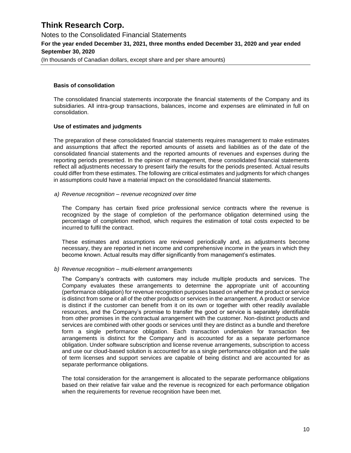Notes to the Consolidated Financial Statements **For the year ended December 31, 2021, three months ended December 31, 2020 and year ended September 30, 2020**  (In thousands of Canadian dollars, except share and per share amounts)

### **Basis of consolidation**

The consolidated financial statements incorporate the financial statements of the Company and its subsidiaries. All intra-group transactions, balances, income and expenses are eliminated in full on consolidation.

#### **Use of estimates and judgments**

The preparation of these consolidated financial statements requires management to make estimates and assumptions that affect the reported amounts of assets and liabilities as of the date of the consolidated financial statements and the reported amounts of revenues and expenses during the reporting periods presented. In the opinion of management, these consolidated financial statements reflect all adjustments necessary to present fairly the results for the periods presented. Actual results could differ from these estimates. The following are critical estimates and judgments for which changes in assumptions could have a material impact on the consolidated financial statements.

#### *a) Revenue recognition – revenue recognized over time*

The Company has certain fixed price professional service contracts where the revenue is recognized by the stage of completion of the performance obligation determined using the percentage of completion method, which requires the estimation of total costs expected to be incurred to fulfil the contract.

These estimates and assumptions are reviewed periodically and, as adjustments become necessary, they are reported in net income and comprehensive income in the years in which they become known. Actual results may differ significantly from management's estimates.

#### *b) Revenue recognition – multi-element arrangements*

The Company's contracts with customers may include multiple products and services. The Company evaluates these arrangements to determine the appropriate unit of accounting (performance obligation) for revenue recognition purposes based on whether the product or service is distinct from some or all of the other products or services in the arrangement. A product or service is distinct if the customer can benefit from it on its own or together with other readily available resources, and the Company's promise to transfer the good or service is separately identifiable from other promises in the contractual arrangement with the customer. Non-distinct products and services are combined with other goods or services until they are distinct as a bundle and therefore form a single performance obligation. Each transaction undertaken for transaction fee arrangements is distinct for the Company and is accounted for as a separate performance obligation. Under software subscription and license revenue arrangements, subscription to access and use our cloud-based solution is accounted for as a single performance obligation and the sale of term licenses and support services are capable of being distinct and are accounted for as separate performance obligations.

The total consideration for the arrangement is allocated to the separate performance obligations based on their relative fair value and the revenue is recognized for each performance obligation when the requirements for revenue recognition have been met.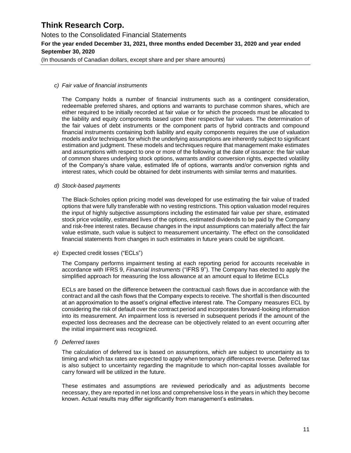Notes to the Consolidated Financial Statements **For the year ended December 31, 2021, three months ended December 31, 2020 and year ended September 30, 2020** 

(In thousands of Canadian dollars, except share and per share amounts)

#### *c) Fair value of financial instruments*

The Company holds a number of financial instruments such as a contingent consideration, redeemable preferred shares, and options and warrants to purchase common shares, which are either required to be initially recorded at fair value or for which the proceeds must be allocated to the liability and equity components based upon their respective fair values. The determination of the fair values of debt instruments or the component parts of hybrid contracts and compound financial instruments containing both liability and equity components requires the use of valuation models and/or techniques for which the underlying assumptions are inherently subject to significant estimation and judgment. These models and techniques require that management make estimates and assumptions with respect to one or more of the following at the date of issuance: the fair value of common shares underlying stock options, warrants and/or conversion rights, expected volatility of the Company's share value, estimated life of options, warrants and/or conversion rights and interest rates, which could be obtained for debt instruments with similar terms and maturities.

#### *d) Stock-based payments*

The Black-Scholes option pricing model was developed for use estimating the fair value of traded options that were fully transferable with no vesting restrictions. This option valuation model requires the input of highly subjective assumptions including the estimated fair value per share, estimated stock price volatility, estimated lives of the options, estimated dividends to be paid by the Company and risk-free interest rates. Because changes in the input assumptions can materially affect the fair value estimate, such value is subject to measurement uncertainty. The effect on the consolidated financial statements from changes in such estimates in future years could be significant.

#### *e)* Expected credit losses ("ECLs")

The Company performs impairment testing at each reporting period for accounts receivable in accordance with IFRS 9, *Financial Instruments* ("IFRS 9"). The Company has elected to apply the simplified approach for measuring the loss allowance at an amount equal to lifetime ECLs

ECLs are based on the difference between the contractual cash flows due in accordance with the contract and all the cash flows that the Company expects to receive. The shortfall is then discounted at an approximation to the asset's original effective interest rate. The Company measures ECL by considering the risk of default over the contract period and incorporates forward-looking information into its measurement. An impairment loss is reversed in subsequent periods if the amount of the expected loss decreases and the decrease can be objectively related to an event occurring after the initial impairment was recognized.

*f) Deferred taxes* 

The calculation of deferred tax is based on assumptions, which are subject to uncertainty as to timing and which tax rates are expected to apply when temporary differences reverse. Deferred tax is also subject to uncertainty regarding the magnitude to which non-capital losses available for carry forward will be utilized in the future.

These estimates and assumptions are reviewed periodically and as adjustments become necessary, they are reported in net loss and comprehensive loss in the years in which they become known. Actual results may differ significantly from management's estimates.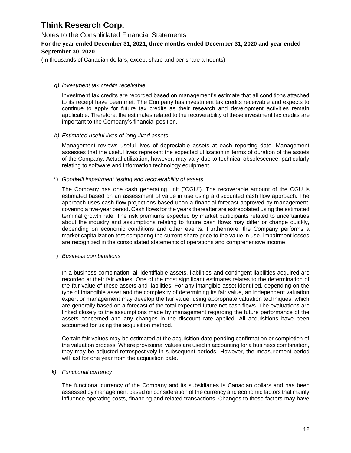## Notes to the Consolidated Financial Statements

## **For the year ended December 31, 2021, three months ended December 31, 2020 and year ended September 30, 2020**

(In thousands of Canadian dollars, except share and per share amounts)

#### *g) Investment tax credits receivable*

Investment tax credits are recorded based on management's estimate that all conditions attached to its receipt have been met. The Company has investment tax credits receivable and expects to continue to apply for future tax credits as their research and development activities remain applicable. Therefore, the estimates related to the recoverability of these investment tax credits are important to the Company's financial position.

### *h) Estimated useful lives of long-lived assets*

Management reviews useful lives of depreciable assets at each reporting date. Management assesses that the useful lives represent the expected utilization in terms of duration of the assets of the Company. Actual utilization, however, may vary due to technical obsolescence, particularly relating to software and information technology equipment.

#### i) *Goodwill impairment testing and recoverability of assets*

The Company has one cash generating unit ("CGU"). The recoverable amount of the CGU is estimated based on an assessment of value in use using a discounted cash flow approach. The approach uses cash flow projections based upon a financial forecast approved by management, covering a five-year period. Cash flows for the years thereafter are extrapolated using the estimated terminal growth rate. The risk premiums expected by market participants related to uncertainties about the industry and assumptions relating to future cash flows may differ or change quickly, depending on economic conditions and other events. Furthermore, the Company performs a market capitalization test comparing the current share price to the value in use. Impairment losses are recognized in the consolidated statements of operations and comprehensive income.

### j) *Business combinations*

In a business combination, all identifiable assets, liabilities and contingent liabilities acquired are recorded at their fair values. One of the most significant estimates relates to the determination of the fair value of these assets and liabilities. For any intangible asset identified, depending on the type of intangible asset and the complexity of determining its fair value, an independent valuation expert or management may develop the fair value, using appropriate valuation techniques, which are generally based on a forecast of the total expected future net cash flows. The evaluations are linked closely to the assumptions made by management regarding the future performance of the assets concerned and any changes in the discount rate applied. All acquisitions have been accounted for using the acquisition method.

Certain fair values may be estimated at the acquisition date pending confirmation or completion of the valuation process. Where provisional values are used in accounting for a business combination, they may be adjusted retrospectively in subsequent periods. However, the measurement period will last for one year from the acquisition date.

### *k) Functional currency*

The functional currency of the Company and its subsidiaries is Canadian dollars and has been assessed by management based on consideration of the currency and economic factors that mainly influence operating costs, financing and related transactions. Changes to these factors may have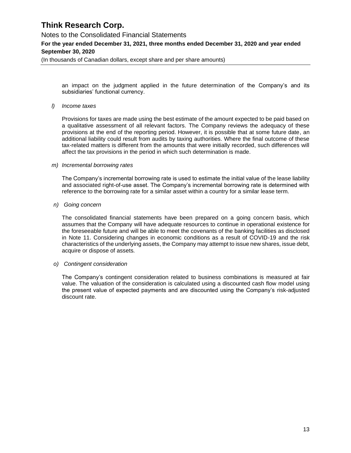# Notes to the Consolidated Financial Statements **For the year ended December 31, 2021, three months ended December 31, 2020 and year ended September 30, 2020**

(In thousands of Canadian dollars, except share and per share amounts)

an impact on the judgment applied in the future determination of the Company's and its subsidiaries' functional currency.

*l) Income taxes*

Provisions for taxes are made using the best estimate of the amount expected to be paid based on a qualitative assessment of all relevant factors. The Company reviews the adequacy of these provisions at the end of the reporting period. However, it is possible that at some future date, an additional liability could result from audits by taxing authorities. Where the final outcome of these tax‑related matters is different from the amounts that were initially recorded, such differences will affect the tax provisions in the period in which such determination is made.

#### *m) Incremental borrowing rates*

The Company's incremental borrowing rate is used to estimate the initial value of the lease liability and associated right-of-use asset. The Company's incremental borrowing rate is determined with reference to the borrowing rate for a similar asset within a country for a similar lease term.

*n) Going concern*

The consolidated financial statements have been prepared on a going concern basis, which assumes that the Company will have adequate resources to continue in operational existence for the foreseeable future and will be able to meet the covenants of the banking facilities as disclosed in Note 11. Considering changes in economic conditions as a result of COVID-19 and the risk characteristics of the underlying assets, the Company may attempt to issue new shares, issue debt, acquire or dispose of assets.

#### *o) Contingent consideration*

The Company's contingent consideration related to business combinations is measured at fair value. The valuation of the consideration is calculated using a discounted cash flow model using the present value of expected payments and are discounted using the Company's risk-adjusted discount rate.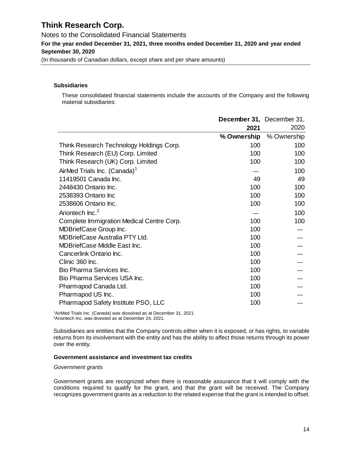Notes to the Consolidated Financial Statements

**For the year ended December 31, 2021, three months ended December 31, 2020 and year ended September 30, 2020** 

(In thousands of Canadian dollars, except share and per share amounts)

### **Subsidiaries**

These consolidated financial statements include the accounts of the Company and the following material subsidiaries:

|                                           | December 31, December 31, |             |
|-------------------------------------------|---------------------------|-------------|
|                                           | 2021                      | 2020        |
|                                           | % Ownership               | % Ownership |
| Think Research Technology Holdings Corp.  | 100                       | 100         |
| Think Research (EU) Corp. Limited         | 100                       | 100         |
| Think Research (UK) Corp. Limited         | 100                       | 100         |
| AirMed Trials Inc. (Canada) <sup>1</sup>  |                           | 100         |
| 11419501 Canada Inc.                      | 49                        | 49          |
| 2448430 Ontario Inc.                      | 100                       | 100         |
| 2538393 Ontario Inc                       | 100                       | 100         |
| 2538606 Ontario Inc.                      | 100                       | 100         |
| Ariontech Inc. <sup>2</sup>               |                           | 100         |
| Complete Immigration Medical Centre Corp. | 100                       | 100         |
| MDBriefCase Group Inc.                    | 100                       |             |
| <b>MDBriefCase Australia PTY Ltd.</b>     | 100                       |             |
| <b>MDBriefCase Middle East Inc.</b>       | 100                       |             |
| Cancerlink Ontario Inc.                   | 100                       |             |
| Clinic 360 Inc.                           | 100                       |             |
| Bio Pharma Services Inc.                  | 100                       |             |
| Bio Pharma Services USA Inc.              | 100                       |             |
| Pharmapod Canada Ltd.                     | 100                       |             |
| Pharmapod US Inc.                         | 100                       |             |
| Pharmapod Safety Institute PSO, LLC       | 100                       |             |

<sup>1</sup>AirMed Trials Inc. (Canada) was dissolved as at December 31, 2021. <sup>2</sup>Ariontech Inc. was divested as at December 24, 2021.

Subsidiaries are entities that the Company controls either when it is exposed, or has rights, to variable returns from its involvement with the entity and has the ability to affect those returns through its power over the entity.

#### **Government assistance and investment tax credits**

#### *Government grants*

Government grants are recognized when there is reasonable assurance that it will comply with the conditions required to qualify for the grant, and that the grant will be received. The Company recognizes government grants as a reduction to the related expense that the grant is intended to offset.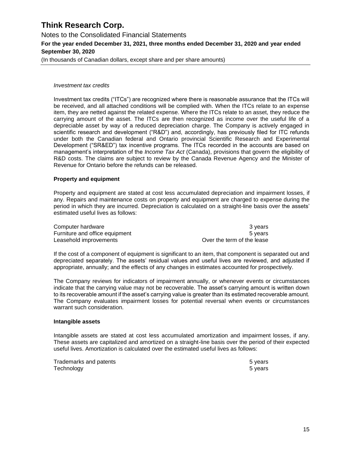Notes to the Consolidated Financial Statements **For the year ended December 31, 2021, three months ended December 31, 2020 and year ended September 30, 2020**  (In thousands of Canadian dollars, except share and per share amounts)

*Investment tax credits*

Investment tax credits ("ITCs") are recognized where there is reasonable assurance that the ITCs will be received, and all attached conditions will be complied with. When the ITCs relate to an expense item, they are netted against the related expense. Where the ITCs relate to an asset, they reduce the carrying amount of the asset. The ITCs are then recognized as income over the useful life of a depreciable asset by way of a reduced depreciation charge. The Company is actively engaged in scientific research and development ("R&D") and, accordingly, has previously filed for ITC refunds under both the Canadian federal and Ontario provincial Scientific Research and Experimental Development ("SR&ED") tax incentive programs. The ITCs recorded in the accounts are based on management's interpretation of the *Income Tax Act* (Canada), provisions that govern the eligibility of R&D costs. The claims are subject to review by the Canada Revenue Agency and the Minister of Revenue for Ontario before the refunds can be released.

### **Property and equipment**

Property and equipment are stated at cost less accumulated depreciation and impairment losses, if any. Repairs and maintenance costs on property and equipment are charged to expense during the period in which they are incurred. Depreciation is calculated on a straight-line basis over the assets' estimated useful lives as follows:

| Computer hardware              | 3 years                    |
|--------------------------------|----------------------------|
| Furniture and office equipment | 5 vears                    |
| Leasehold improvements         | Over the term of the lease |

If the cost of a component of equipment is significant to an item, that component is separated out and depreciated separately. The assets' residual values and useful lives are reviewed, and adjusted if appropriate, annually; and the effects of any changes in estimates accounted for prospectively.

The Company reviews for indicators of impairment annually, or whenever events or circumstances indicate that the carrying value may not be recoverable. The asset's carrying amount is written down to its recoverable amount if the asset's carrying value is greater than its estimated recoverable amount. The Company evaluates impairment losses for potential reversal when events or circumstances warrant such consideration.

#### **Intangible assets**

Intangible assets are stated at cost less accumulated amortization and impairment losses, if any. These assets are capitalized and amortized on a straight-line basis over the period of their expected useful lives. Amortization is calculated over the estimated useful lives as follows:

| Trademarks and patents | 5 years |
|------------------------|---------|
| Technology             | 5 years |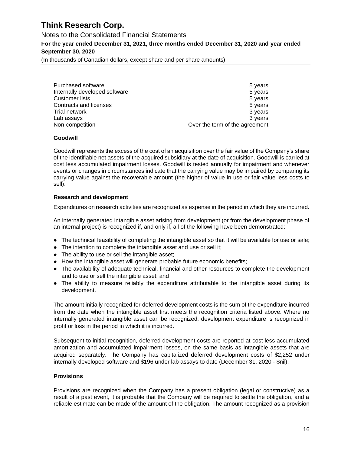Notes to the Consolidated Financial Statements

**For the year ended December 31, 2021, three months ended December 31, 2020 and year ended September 30, 2020** 

(In thousands of Canadian dollars, except share and per share amounts)

| Purchased software            | 5 years                        |
|-------------------------------|--------------------------------|
| Internally developed software | 5 years                        |
| Customer lists                | 5 years                        |
| Contracts and licenses        | 5 years                        |
| Trial network                 | 3 years                        |
| Lab assays                    | 3 years                        |
| Non-competition               | Over the term of the agreement |

### **Goodwill**

Goodwill represents the excess of the cost of an acquisition over the fair value of the Company's share of the identifiable net assets of the acquired subsidiary at the date of acquisition. Goodwill is carried at cost less accumulated impairment losses. Goodwill is tested annually for impairment and whenever events or changes in circumstances indicate that the carrying value may be impaired by comparing its carrying value against the recoverable amount (the higher of value in use or fair value less costs to sell).

## **Research and development**

Expenditures on research activities are recognized as expense in the period in which they are incurred.

An internally generated intangible asset arising from development (or from the development phase of an internal project) is recognized if, and only if, all of the following have been demonstrated:

- The technical feasibility of completing the intangible asset so that it will be available for use or sale;
- The intention to complete the intangible asset and use or sell it;
- The ability to use or sell the intangible asset;
- How the intangible asset will generate probable future economic benefits;
- The availability of adequate technical, financial and other resources to complete the development and to use or sell the intangible asset; and
- The ability to measure reliably the expenditure attributable to the intangible asset during its development.

The amount initially recognized for deferred development costs is the sum of the expenditure incurred from the date when the intangible asset first meets the recognition criteria listed above. Where no internally generated intangible asset can be recognized, development expenditure is recognized in profit or loss in the period in which it is incurred.

Subsequent to initial recognition, deferred development costs are reported at cost less accumulated amortization and accumulated impairment losses, on the same basis as intangible assets that are acquired separately. The Company has capitalized deferred development costs of \$2,252 under internally developed software and \$196 under lab assays to date (December 31, 2020 - \$nil).

### **Provisions**

Provisions are recognized when the Company has a present obligation (legal or constructive) as a result of a past event, it is probable that the Company will be required to settle the obligation, and a reliable estimate can be made of the amount of the obligation. The amount recognized as a provision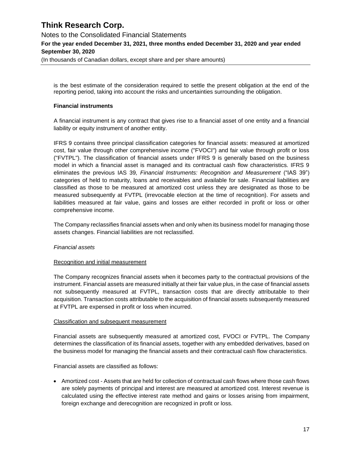Notes to the Consolidated Financial Statements **For the year ended December 31, 2021, three months ended December 31, 2020 and year ended September 30, 2020**  (In thousands of Canadian dollars, except share and per share amounts)

is the best estimate of the consideration required to settle the present obligation at the end of the reporting period, taking into account the risks and uncertainties surrounding the obligation.

#### **Financial instruments**

A financial instrument is any contract that gives rise to a financial asset of one entity and a financial liability or equity instrument of another entity.

IFRS 9 contains three principal classification categories for financial assets: measured at amortized cost, fair value through other comprehensive income ("FVOCI") and fair value through profit or loss ("FVTPL"). The classification of financial assets under IFRS 9 is generally based on the business model in which a financial asset is managed and its contractual cash flow characteristics. IFRS 9 eliminates the previous IAS 39*, Financial Instruments: Recognition and Measurement* ("IAS 39") categories of held to maturity, loans and receivables and available for sale. Financial liabilities are classified as those to be measured at amortized cost unless they are designated as those to be measured subsequently at FVTPL (irrevocable election at the time of recognition). For assets and liabilities measured at fair value, gains and losses are either recorded in profit or loss or other comprehensive income.

The Company reclassifies financial assets when and only when its business model for managing those assets changes. Financial liabilities are not reclassified.

### *Financial assets*

#### Recognition and initial measurement

The Company recognizes financial assets when it becomes party to the contractual provisions of the instrument. Financial assets are measured initially at their fair value plus, in the case of financial assets not subsequently measured at FVTPL, transaction costs that are directly attributable to their acquisition. Transaction costs attributable to the acquisition of financial assets subsequently measured at FVTPL are expensed in profit or loss when incurred.

#### Classification and subsequent measurement

Financial assets are subsequently measured at amortized cost, FVOCI or FVTPL. The Company determines the classification of its financial assets, together with any embedded derivatives, based on the business model for managing the financial assets and their contractual cash flow characteristics.

Financial assets are classified as follows:

• Amortized cost - Assets that are held for collection of contractual cash flows where those cash flows are solely payments of principal and interest are measured at amortized cost. Interest revenue is calculated using the effective interest rate method and gains or losses arising from impairment, foreign exchange and derecognition are recognized in profit or loss.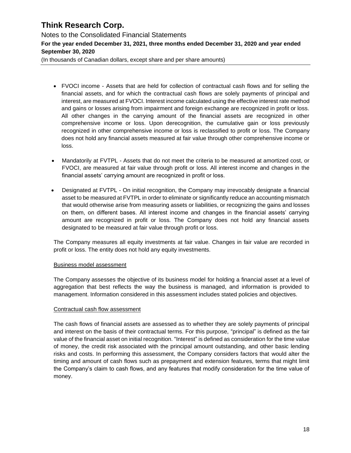Notes to the Consolidated Financial Statements **For the year ended December 31, 2021, three months ended December 31, 2020 and year ended September 30, 2020** 

(In thousands of Canadian dollars, except share and per share amounts)

- FVOCI income Assets that are held for collection of contractual cash flows and for selling the financial assets, and for which the contractual cash flows are solely payments of principal and interest, are measured at FVOCI. Interest income calculated using the effective interest rate method and gains or losses arising from impairment and foreign exchange are recognized in profit or loss. All other changes in the carrying amount of the financial assets are recognized in other comprehensive income or loss. Upon derecognition, the cumulative gain or loss previously recognized in other comprehensive income or loss is reclassified to profit or loss. The Company does not hold any financial assets measured at fair value through other comprehensive income or loss.
- Mandatorily at FVTPL Assets that do not meet the criteria to be measured at amortized cost, or FVOCI, are measured at fair value through profit or loss. All interest income and changes in the financial assets' carrying amount are recognized in profit or loss.
- Designated at FVTPL On initial recognition, the Company may irrevocably designate a financial asset to be measured at FVTPL in order to eliminate or significantly reduce an accounting mismatch that would otherwise arise from measuring assets or liabilities, or recognizing the gains and losses on them, on different bases. All interest income and changes in the financial assets' carrying amount are recognized in profit or loss. The Company does not hold any financial assets designated to be measured at fair value through profit or loss.

The Company measures all equity investments at fair value. Changes in fair value are recorded in profit or loss. The entity does not hold any equity investments.

### Business model assessment

The Company assesses the objective of its business model for holding a financial asset at a level of aggregation that best reflects the way the business is managed, and information is provided to management. Information considered in this assessment includes stated policies and objectives.

### Contractual cash flow assessment

The cash flows of financial assets are assessed as to whether they are solely payments of principal and interest on the basis of their contractual terms. For this purpose, "principal" is defined as the fair value of the financial asset on initial recognition. "Interest" is defined as consideration for the time value of money, the credit risk associated with the principal amount outstanding, and other basic lending risks and costs. In performing this assessment, the Company considers factors that would alter the timing and amount of cash flows such as prepayment and extension features, terms that might limit the Company's claim to cash flows, and any features that modify consideration for the time value of money.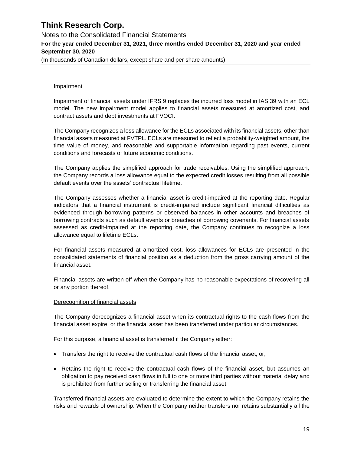Notes to the Consolidated Financial Statements **For the year ended December 31, 2021, three months ended December 31, 2020 and year ended September 30, 2020**  (In thousands of Canadian dollars, except share and per share amounts)

#### **Impairment**

Impairment of financial assets under IFRS 9 replaces the incurred loss model in IAS 39 with an ECL model. The new impairment model applies to financial assets measured at amortized cost, and contract assets and debt investments at FVOCI.

The Company recognizes a loss allowance for the ECLs associated with its financial assets, other than financial assets measured at FVTPL. ECLs are measured to reflect a probability-weighted amount, the time value of money, and reasonable and supportable information regarding past events, current conditions and forecasts of future economic conditions.

The Company applies the simplified approach for trade receivables. Using the simplified approach, the Company records a loss allowance equal to the expected credit losses resulting from all possible default events over the assets' contractual lifetime.

The Company assesses whether a financial asset is credit-impaired at the reporting date. Regular indicators that a financial instrument is credit-impaired include significant financial difficulties as evidenced through borrowing patterns or observed balances in other accounts and breaches of borrowing contracts such as default events or breaches of borrowing covenants. For financial assets assessed as credit-impaired at the reporting date, the Company continues to recognize a loss allowance equal to lifetime ECLs.

For financial assets measured at amortized cost, loss allowances for ECLs are presented in the consolidated statements of financial position as a deduction from the gross carrying amount of the financial asset.

Financial assets are written off when the Company has no reasonable expectations of recovering all or any portion thereof.

#### Derecognition of financial assets

The Company derecognizes a financial asset when its contractual rights to the cash flows from the financial asset expire, or the financial asset has been transferred under particular circumstances.

For this purpose, a financial asset is transferred if the Company either:

- Transfers the right to receive the contractual cash flows of the financial asset, or;
- Retains the right to receive the contractual cash flows of the financial asset, but assumes an obligation to pay received cash flows in full to one or more third parties without material delay and is prohibited from further selling or transferring the financial asset.

Transferred financial assets are evaluated to determine the extent to which the Company retains the risks and rewards of ownership. When the Company neither transfers nor retains substantially all the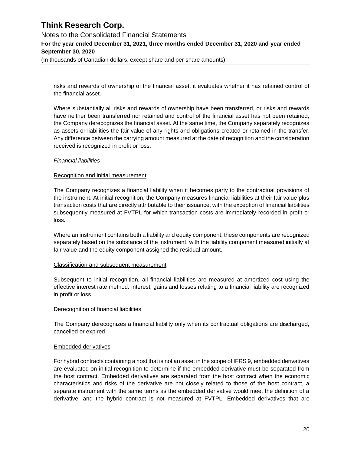Notes to the Consolidated Financial Statements **For the year ended December 31, 2021, three months ended December 31, 2020 and year ended September 30, 2020**  (In thousands of Canadian dollars, except share and per share amounts)

risks and rewards of ownership of the financial asset, it evaluates whether it has retained control of the financial asset.

Where substantially all risks and rewards of ownership have been transferred, or risks and rewards have neither been transferred nor retained and control of the financial asset has not been retained, the Company derecognizes the financial asset. At the same time, the Company separately recognizes as assets or liabilities the fair value of any rights and obligations created or retained in the transfer. Any difference between the carrying amount measured at the date of recognition and the consideration received is recognized in profit or loss.

#### *Financial liabilities*

#### Recognition and initial measurement

The Company recognizes a financial liability when it becomes party to the contractual provisions of the instrument. At initial recognition, the Company measures financial liabilities at their fair value plus transaction costs that are directly attributable to their issuance, with the exception of financial liabilities subsequently measured at FVTPL for which transaction costs are immediately recorded in profit or loss.

Where an instrument contains both a liability and equity component, these components are recognized separately based on the substance of the instrument, with the liability component measured initially at fair value and the equity component assigned the residual amount.

#### Classification and subsequent measurement

Subsequent to initial recognition, all financial liabilities are measured at amortized cost using the effective interest rate method. Interest, gains and losses relating to a financial liability are recognized in profit or loss.

### Derecognition of financial liabilities

The Company derecognizes a financial liability only when its contractual obligations are discharged, cancelled or expired.

### Embedded derivatives

For hybrid contracts containing a host that is not an asset in the scope of IFRS 9, embedded derivatives are evaluated on initial recognition to determine if the embedded derivative must be separated from the host contract. Embedded derivatives are separated from the host contract when the economic characteristics and risks of the derivative are not closely related to those of the host contract, a separate instrument with the same terms as the embedded derivative would meet the definition of a derivative, and the hybrid contract is not measured at FVTPL. Embedded derivatives that are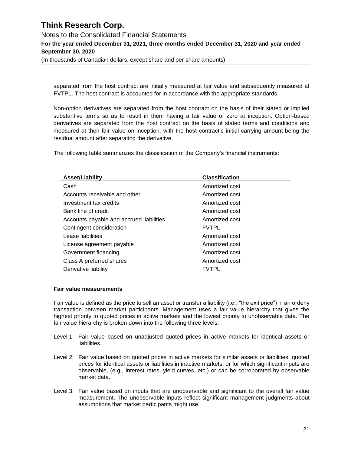Notes to the Consolidated Financial Statements **For the year ended December 31, 2021, three months ended December 31, 2020 and year ended September 30, 2020**  (In thousands of Canadian dollars, except share and per share amounts)

separated from the host contract are initially measured at fair value and subsequently measured at FVTPL. The host contract is accounted for in accordance with the appropriate standards.

Non-option derivatives are separated from the host contract on the basis of their stated or implied substantive terms so as to result in them having a fair value of zero at inception. Option-based derivatives are separated from the host contract on the basis of stated terms and conditions and measured at their fair value on inception, with the host contract's initial carrying amount being the residual amount after separating the derivative.

The following table summarizes the classification of the Company's financial instruments:

| <b>Classification</b> |
|-----------------------|
| Amortized cost        |
| Amortized cost        |
| Amortized cost        |
| Amortized cost        |
| Amortized cost        |
| <b>FVTPL</b>          |
| Amortized cost        |
| Amortized cost        |
| Amortized cost        |
| Amortized cost        |
| <b>FVTPL</b>          |
|                       |

#### **Fair value measurements**

Fair value is defined as the price to sell an asset or transfer a liability (i.e., "the exit price") in an orderly transaction between market participants. Management uses a fair value hierarchy that gives the highest priority to quoted prices in active markets and the lowest priority to unobservable data. The fair value hierarchy is broken down into the following three levels.

- Level 1: Fair value based on unadjusted quoted prices in active markets for identical assets or liabilities.
- Level 2: Fair value based on quoted prices in active markets for similar assets or liabilities, quoted prices for identical assets or liabilities in inactive markets, or for which significant inputs are observable, (e.g., interest rates, yield curves, etc.) or can be corroborated by observable market data.
- Level 3: Fair value based on inputs that are unobservable and significant to the overall fair value measurement. The unobservable inputs reflect significant management judgments about assumptions that market participants might use.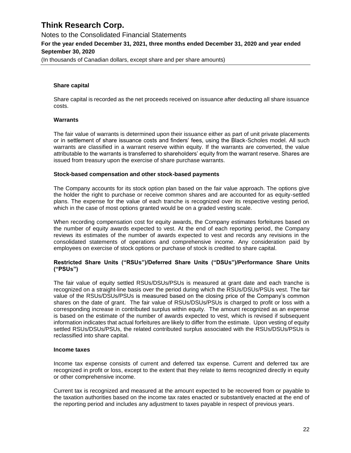Notes to the Consolidated Financial Statements **For the year ended December 31, 2021, three months ended December 31, 2020 and year ended September 30, 2020** 

#### (In thousands of Canadian dollars, except share and per share amounts)

#### **Share capital**

Share capital is recorded as the net proceeds received on issuance after deducting all share issuance costs.

#### **Warrants**

The fair value of warrants is determined upon their issuance either as part of unit private placements or in settlement of share issuance costs and finders' fees, using the Black-Scholes model. All such warrants are classified in a warrant reserve within equity. If the warrants are converted, the value attributable to the warrants is transferred to shareholders' equity from the warrant reserve. Shares are issued from treasury upon the exercise of share purchase warrants.

#### **Stock-based compensation and other stock-based payments**

The Company accounts for its stock option plan based on the fair value approach. The options give the holder the right to purchase or receive common shares and are accounted for as equity-settled plans. The expense for the value of each tranche is recognized over its respective vesting period, which in the case of most options granted would be on a graded vesting scale.

When recording compensation cost for equity awards, the Company estimates forfeitures based on the number of equity awards expected to vest. At the end of each reporting period, the Company reviews its estimates of the number of awards expected to vest and records any revisions in the consolidated statements of operations and comprehensive income. Any consideration paid by employees on exercise of stock options or purchase of stock is credited to share capital.

### **Restricted Share Units ("RSUs")/Deferred Share Units ("DSUs")/Performance Share Units ("PSUs")**

The fair value of equity settled RSUs/DSUs/PSUs is measured at grant date and each tranche is recognized on a straight-line basis over the period during which the RSUs/DSUs/PSUs vest. The fair value of the RSUs/DSUs/PSUs is measured based on the closing price of the Company's common shares on the date of grant. The fair value of RSUs/DSUs/PSUs is charged to profit or loss with a corresponding increase in contributed surplus within equity. The amount recognized as an expense is based on the estimate of the number of awards expected to vest, which is revised if subsequent information indicates that actual forfeitures are likely to differ from the estimate. Upon vesting of equity settled RSUs/DSUs/PSUs, the related contributed surplus associated with the RSUs/DSUs/PSUs is reclassified into share capital.

#### **Income taxes**

Income tax expense consists of current and deferred tax expense. Current and deferred tax are recognized in profit or loss, except to the extent that they relate to items recognized directly in equity or other comprehensive income.

Current tax is recognized and measured at the amount expected to be recovered from or payable to the taxation authorities based on the income tax rates enacted or substantively enacted at the end of the reporting period and includes any adjustment to taxes payable in respect of previous years.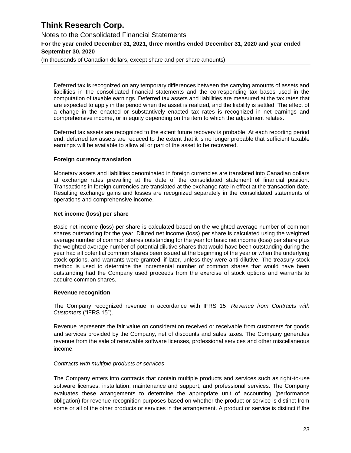Notes to the Consolidated Financial Statements **For the year ended December 31, 2021, three months ended December 31, 2020 and year ended September 30, 2020** 

(In thousands of Canadian dollars, except share and per share amounts)

Deferred tax is recognized on any temporary differences between the carrying amounts of assets and liabilities in the consolidated financial statements and the corresponding tax bases used in the computation of taxable earnings. Deferred tax assets and liabilities are measured at the tax rates that are expected to apply in the period when the asset is realized, and the liability is settled. The effect of a change in the enacted or substantively enacted tax rates is recognized in net earnings and comprehensive income, or in equity depending on the item to which the adjustment relates.

Deferred tax assets are recognized to the extent future recovery is probable. At each reporting period end, deferred tax assets are reduced to the extent that it is no longer probable that sufficient taxable earnings will be available to allow all or part of the asset to be recovered.

### **Foreign currency translation**

Monetary assets and liabilities denominated in foreign currencies are translated into Canadian dollars at exchange rates prevailing at the date of the consolidated statement of financial position. Transactions in foreign currencies are translated at the exchange rate in effect at the transaction date. Resulting exchange gains and losses are recognized separately in the consolidated statements of operations and comprehensive income.

#### **Net income (loss) per share**

Basic net income (loss) per share is calculated based on the weighted average number of common shares outstanding for the year. Diluted net income (loss) per share is calculated using the weighted average number of common shares outstanding for the year for basic net income (loss) per share plus the weighted average number of potential dilutive shares that would have been outstanding during the year had all potential common shares been issued at the beginning of the year or when the underlying stock options, and warrants were granted, if later, unless they were anti-dilutive. The treasury stock method is used to determine the incremental number of common shares that would have been outstanding had the Company used proceeds from the exercise of stock options and warrants to acquire common shares.

#### **Revenue recognition**

The Company recognized revenue in accordance with IFRS 15, *Revenue from Contracts with Customers* ("IFRS 15").

Revenue represents the fair value on consideration received or receivable from customers for goods and services provided by the Company, net of discounts and sales taxes. The Company generates revenue from the sale of renewable software licenses, professional services and other miscellaneous income.

#### *Contracts with multiple products or services*

The Company enters into contracts that contain multiple products and services such as right-to-use software licenses, installation, maintenance and support, and professional services. The Company evaluates these arrangements to determine the appropriate unit of accounting (performance obligation) for revenue recognition purposes based on whether the product or service is distinct from some or all of the other products or services in the arrangement. A product or service is distinct if the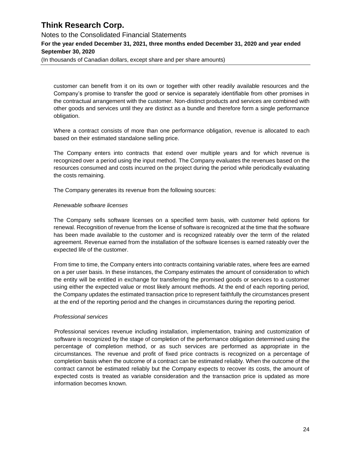Notes to the Consolidated Financial Statements **For the year ended December 31, 2021, three months ended December 31, 2020 and year ended September 30, 2020** 

(In thousands of Canadian dollars, except share and per share amounts)

customer can benefit from it on its own or together with other readily available resources and the Company's promise to transfer the good or service is separately identifiable from other promises in the contractual arrangement with the customer. Non-distinct products and services are combined with other goods and services until they are distinct as a bundle and therefore form a single performance obligation.

Where a contract consists of more than one performance obligation, revenue is allocated to each based on their estimated standalone selling price.

The Company enters into contracts that extend over multiple years and for which revenue is recognized over a period using the input method. The Company evaluates the revenues based on the resources consumed and costs incurred on the project during the period while periodically evaluating the costs remaining.

The Company generates its revenue from the following sources:

#### *Renewable software licenses*

The Company sells software licenses on a specified term basis, with customer held options for renewal. Recognition of revenue from the license of software is recognized at the time that the software has been made available to the customer and is recognized rateably over the term of the related agreement. Revenue earned from the installation of the software licenses is earned rateably over the expected life of the customer.

From time to time, the Company enters into contracts containing variable rates, where fees are earned on a per user basis. In these instances, the Company estimates the amount of consideration to which the entity will be entitled in exchange for transferring the promised goods or services to a customer using either the expected value or most likely amount methods. At the end of each reporting period, the Company updates the estimated transaction price to represent faithfully the circumstances present at the end of the reporting period and the changes in circumstances during the reporting period.

#### *Professional services*

Professional services revenue including installation, implementation, training and customization of software is recognized by the stage of completion of the performance obligation determined using the percentage of completion method, or as such services are performed as appropriate in the circumstances. The revenue and profit of fixed price contracts is recognized on a percentage of completion basis when the outcome of a contract can be estimated reliably. When the outcome of the contract cannot be estimated reliably but the Company expects to recover its costs, the amount of expected costs is treated as variable consideration and the transaction price is updated as more information becomes known.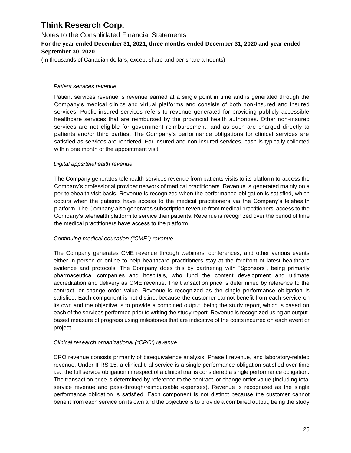Notes to the Consolidated Financial Statements **For the year ended December 31, 2021, three months ended December 31, 2020 and year ended September 30, 2020** 

(In thousands of Canadian dollars, except share and per share amounts)

#### *Patient services revenue*

Patient services revenue is revenue earned at a single point in time and is generated through the Company's medical clinics and virtual platforms and consists of both non-insured and insured services. Public insured services refers to revenue generated for providing publicly accessible healthcare services that are reimbursed by the provincial health authorities. Other non-insured services are not eligible for government reimbursement, and as such are charged directly to patients and/or third parties. The Company's performance obligations for clinical services are satisfied as services are rendered. For insured and non-insured services, cash is typically collected within one month of the appointment visit.

### *Digital apps/telehealth revenue*

The Company generates telehealth services revenue from patients visits to its platform to access the Company's professional provider network of medical practitioners. Revenue is generated mainly on a per-telehealth visit basis. Revenue is recognized when the performance obligation is satisfied, which occurs when the patients have access to the medical practitioners via the Company's telehealth platform. The Company also generates subscription revenue from medical practitioners' access to the Company's telehealth platform to service their patients. Revenue is recognized over the period of time the medical practitioners have access to the platform.

### *Continuing medical education ("CME") revenue*

The Company generates CME revenue through webinars, conferences, and other various events either in person or online to help healthcare practitioners stay at the forefront of latest healthcare evidence and protocols, The Company does this by partnering with "Sponsors", being primarily pharmaceutical companies and hospitals, who fund the content development and ultimate accreditation and delivery as CME revenue. The transaction price is determined by reference to the contract, or change order value. Revenue is recognized as the single performance obligation is satisfied. Each component is not distinct because the customer cannot benefit from each service on its own and the objective is to provide a combined output, being the study report, which is based on each of the services performed prior to writing the study report. Revenue is recognized using an outputbased measure of progress using milestones that are indicative of the costs incurred on each event or project.

### *Clinical research organizational ("CRO') revenue*

CRO revenue consists primarily of bioequivalence analysis, Phase I revenue, and laboratory-related revenue. Under IFRS 15, a clinical trial service is a single performance obligation satisfied over time i.e., the full service obligation in respect of a clinical trial is considered a single performance obligation. The transaction price is determined by reference to the contract, or change order value (including total service revenue and pass-through/reimbursable expenses). Revenue is recognized as the single performance obligation is satisfied. Each component is not distinct because the customer cannot benefit from each service on its own and the objective is to provide a combined output, being the study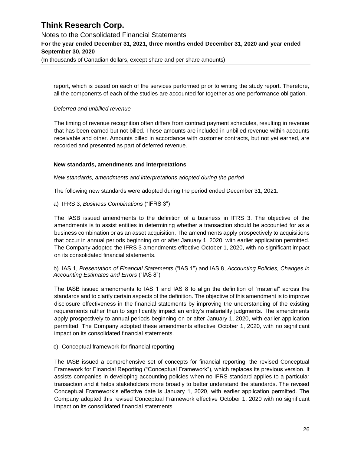Notes to the Consolidated Financial Statements **For the year ended December 31, 2021, three months ended December 31, 2020 and year ended September 30, 2020**  (In thousands of Canadian dollars, except share and per share amounts)

report, which is based on each of the services performed prior to writing the study report. Therefore, all the components of each of the studies are accounted for together as one performance obligation.

#### *Deferred and unbilled revenue*

The timing of revenue recognition often differs from contract payment schedules, resulting in revenue that has been earned but not billed. These amounts are included in unbilled revenue within accounts receivable and other. Amounts billed in accordance with customer contracts, but not yet earned, are recorded and presented as part of deferred revenue.

### **New standards, amendments and interpretations**

#### *New standards, amendments and interpretations adopted during the period*

The following new standards were adopted during the period ended December 31, 2021:

#### a) IFRS 3, *Business Combinations* ("IFRS 3")

The IASB issued amendments to the definition of a business in IFRS 3. The objective of the amendments is to assist entities in determining whether a transaction should be accounted for as a business combination or as an asset acquisition. The amendments apply prospectively to acquisitions that occur in annual periods beginning on or after January 1, 2020, with earlier application permitted. The Company adopted the IFRS 3 amendments effective October 1, 2020, with no significant impact on its consolidated financial statements.

#### b) IAS 1, *Presentation of Financial Statements* ("IAS 1") and IAS 8, *Accounting Policies, Changes in Accounting Estimates and Errors* ("IAS 8")

The IASB issued amendments to IAS 1 and IAS 8 to align the definition of "material" across the standards and to clarify certain aspects of the definition. The objective of this amendment is to improve disclosure effectiveness in the financial statements by improving the understanding of the existing requirements rather than to significantly impact an entity's materiality judgments. The amendments apply prospectively to annual periods beginning on or after January 1, 2020, with earlier application permitted. The Company adopted these amendments effective October 1, 2020, with no significant impact on its consolidated financial statements.

#### c) Conceptual framework for financial reporting

The IASB issued a comprehensive set of concepts for financial reporting: the revised Conceptual Framework for Financial Reporting ("Conceptual Framework"), which replaces its previous version. It assists companies in developing accounting policies when no IFRS standard applies to a particular transaction and it helps stakeholders more broadly to better understand the standards. The revised Conceptual Framework's effective date is January 1, 2020, with earlier application permitted. The Company adopted this revised Conceptual Framework effective October 1, 2020 with no significant impact on its consolidated financial statements.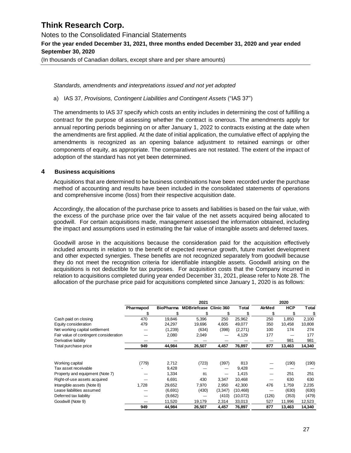Notes to the Consolidated Financial Statements **For the year ended December 31, 2021, three months ended December 31, 2020 and year ended September 30, 2020** 

(In thousands of Canadian dollars, except share and per share amounts)

*Standards, amendments and interpretations issued and not yet adopted*

a) IAS 37, *Provisions, Contingent Liabilities and Contingent Assets* ("IAS 37")

The amendments to IAS 37 specify which costs an entity includes in determining the cost of fulfilling a contract for the purpose of assessing whether the contract is onerous. The amendments apply for annual reporting periods beginning on or after January 1, 2022 to contracts existing at the date when the amendments are first applied. At the date of initial application, the cumulative effect of applying the amendments is recognized as an opening balance adjustment to retained earnings or other components of equity, as appropriate. The comparatives are not restated. The extent of the impact of adoption of the standard has not yet been determined.

### **4 Business acquisitions**

Acquisitions that are determined to be business combinations have been recorded under the purchase method of accounting and results have been included in the consolidated statements of operations and comprehensive income (loss) from their respective acquisition date.

Accordingly, the allocation of the purchase price to assets and liabilities is based on the fair value, with the excess of the purchase price over the fair value of the net assets acquired being allocated to goodwill. For certain acquisitions made, management assessed the information obtained, including the impact and assumptions used in estimating the fair value of intangible assets and deferred taxes.

Goodwill arose in the acquisitions because the consideration paid for the acquisition effectively included amounts in relation to the benefit of expected revenue growth, future market development and other expected synergies. These benefits are not recognized separately from goodwill because they do not meet the recognition criteria for identifiable intangible assets. Goodwill arising on the acquisitions is not deductible for tax purposes. For acquisition costs that the Company incurred in relation to acquisitions completed during year ended December 31, 2021, please refer to Note 28. The allocation of the purchase price paid for acquisitions completed since January 1, 2020 is as follows:

|                                        | 2021      |                  |                               |         |           | 2020   |            |        |
|----------------------------------------|-----------|------------------|-------------------------------|---------|-----------|--------|------------|--------|
|                                        | Pharmapod | <b>BioPharma</b> | <b>MDBriefcase Clinic 360</b> |         | Total     | AirMed | <b>HCP</b> | Total  |
|                                        | \$        |                  | \$                            |         |           | \$     | S          | \$     |
| Cash paid on closing                   | 470       | 19,846           | 5,396                         | 250     | 25,962    | 250    | 1,850      | 2,100  |
| Equity consideration                   | 479       | 24,297           | 19.696                        | 4,605   | 49,077    | 350    | 10,458     | 10,808 |
| Net working capital settlement         |           | (1,239)          | (634)                         | (398)   | (2,271)   | 100    | 174        | 274    |
| Fair value of contingent consideration |           | 2,080            | 2,049                         |         | 4,129     | 177    |            | 177    |
| Derivative liability                   |           |                  |                               |         |           |        | 981        | 981    |
| Total purchase price                   | 949       | 44,984           | 26,507                        | 4,457   | 76,897    | 877    | 13,463     | 14,340 |
|                                        |           |                  |                               |         |           |        |            |        |
| Working capital                        | (779)     | 2,712            | (723)                         | (397)   | 813       |        | (190)      | (190)  |
| Tax asset receivable                   |           | 9,428            |                               |         | 9,428     |        |            |        |
| Property and equipment (Note 7)        |           | 1,334            | 81                            |         | 1,415     |        | 251        | 251    |
| Right-of-use assets acquired           |           | 6,691            | 430                           | 3,347   | 10,468    |        | 630        | 630    |
| Intangible assets (Note 8)             | 1,728     | 29,652           | 7,970                         | 2,950   | 42,300    | 476    | 1,759      | 2,235  |
| Lease liabilities assumed              |           | (6,691)          | (430)                         | (3,347) | (10, 468) |        | (630)      | (630)  |
| Deferred tax liability                 |           | (9,662)          |                               | (410)   | (10,072)  | (126)  | (353)      | (479)  |
| Goodwill (Note 9)                      |           | 11,520           | 19,179                        | 2,314   | 33,013    | 527    | 11,996     | 12,523 |
|                                        | 949       | 44,984           | 26,507                        | 4,457   | 76,897    | 877    | 13.463     | 14,340 |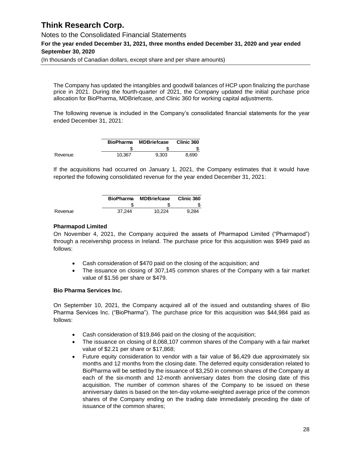Notes to the Consolidated Financial Statements **For the year ended December 31, 2021, three months ended December 31, 2020 and year ended September 30, 2020** 

(In thousands of Canadian dollars, except share and per share amounts)

The Company has updated the intangibles and goodwill balances of HCP upon finalizing the purchase price in 2021. During the fourth-quarter of 2021, the Company updated the initial purchase price allocation for BioPharma, MDBriefcase, and Clinic 360 for working capital adjustments.

The following revenue is included in the Company's consolidated financial statements for the year ended December 31, 2021:

|         | <b>BioPharma</b> | MDBriefcase | Clinic 360 |
|---------|------------------|-------------|------------|
|         |                  |             |            |
| Revenue | 10.367           | 9.303       | 8.690      |

If the acquisitions had occurred on January 1, 2021, the Company estimates that it would have reported the following consolidated revenue for the year ended December 31, 2021:

|         | <b>BioPharma</b> | MDBriefcase | Clinic 360 |  |  |
|---------|------------------|-------------|------------|--|--|
|         |                  |             |            |  |  |
| Revenue | 37.244           | 10.224      | 9.284      |  |  |

#### **Pharmapod Limited**

On November 4, 2021, the Company acquired the assets of Pharmapod Limited ("Pharmapod") through a receivership process in Ireland. The purchase price for this acquisition was \$949 paid as follows:

- Cash consideration of \$470 paid on the closing of the acquisition; and
- The issuance on closing of 307,145 common shares of the Company with a fair market value of \$1.56 per share or \$479.

#### **Bio Pharma Services Inc.**

On September 10, 2021, the Company acquired all of the issued and outstanding shares of Bio Pharma Services Inc. ("BioPharma"). The purchase price for this acquisition was \$44,984 paid as follows:

- Cash consideration of \$19,846 paid on the closing of the acquisition;
- The issuance on closing of 8,068,107 common shares of the Company with a fair market value of \$2.21 per share or \$17,868;
- Future equity consideration to vendor with a fair value of \$6,429 due approximately six months and 12 months from the closing date. The deferred equity consideration related to BioPharma will be settled by the issuance of \$3,250 in common shares of the Company at each of the six-month and 12-month anniversary dates from the closing date of this acquisition. The number of common shares of the Company to be issued on these anniversary dates is based on the ten-day volume-weighted average price of the common shares of the Company ending on the trading date immediately preceding the date of issuance of the common shares;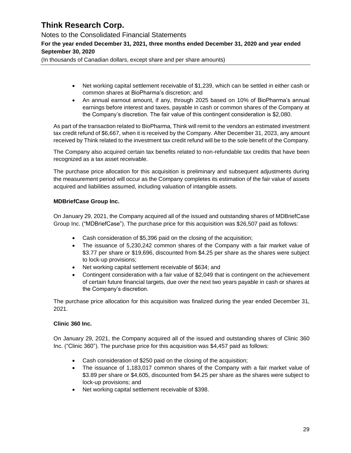Notes to the Consolidated Financial Statements

## **For the year ended December 31, 2021, three months ended December 31, 2020 and year ended September 30, 2020**

(In thousands of Canadian dollars, except share and per share amounts)

- Net working capital settlement receivable of \$1,239, which can be settled in either cash or common shares at BioPharma's discretion; and
- An annual earnout amount, if any, through 2025 based on 10% of BioPharma's annual earnings before interest and taxes, payable in cash or common shares of the Company at the Company's discretion. The fair value of this contingent consideration is \$2,080.

As part of the transaction related to BioPharma, Think will remit to the vendors an estimated investment tax credit refund of \$6,667, when it is received by the Company. After December 31, 2023, any amount received by Think related to the investment tax credit refund will be to the sole benefit of the Company.

The Company also acquired certain tax benefits related to non-refundable tax credits that have been recognized as a tax asset receivable.

The purchase price allocation for this acquisition is preliminary and subsequent adjustments during the measurement period will occur as the Company completes its estimation of the fair value of assets acquired and liabilities assumed, including valuation of intangible assets.

## **MDBriefCase Group Inc.**

On January 29, 2021, the Company acquired all of the issued and outstanding shares of MDBriefCase Group Inc. ("MDBriefCase"). The purchase price for this acquisition was \$26,507 paid as follows:

- Cash consideration of \$5,396 paid on the closing of the acquisition;
- The issuance of 5,230,242 common shares of the Company with a fair market value of \$3.77 per share or \$19,696, discounted from \$4.25 per share as the shares were subject to lock-up provisions;
- Net working capital settlement receivable of \$634; and
- Contingent consideration with a fair value of \$2,049 that is contingent on the achievement of certain future financial targets, due over the next two years payable in cash or shares at the Company's discretion.

The purchase price allocation for this acquisition was finalized during the year ended December 31, 2021.

## **Clinic 360 Inc.**

On January 29, 2021, the Company acquired all of the issued and outstanding shares of Clinic 360 Inc. ("Clinic 360"). The purchase price for this acquisition was \$4,457 paid as follows:

- Cash consideration of \$250 paid on the closing of the acquisition;
- The issuance of 1,183,017 common shares of the Company with a fair market value of \$3.89 per share or \$4,605, discounted from \$4.25 per share as the shares were subject to lock-up provisions; and
- Net working capital settlement receivable of \$398.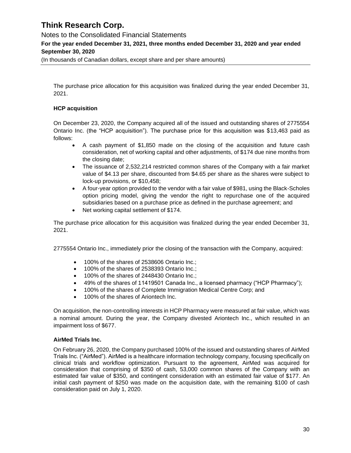Notes to the Consolidated Financial Statements

## **For the year ended December 31, 2021, three months ended December 31, 2020 and year ended September 30, 2020**

(In thousands of Canadian dollars, except share and per share amounts)

The purchase price allocation for this acquisition was finalized during the year ended December 31, 2021.

## **HCP acquisition**

On December 23, 2020, the Company acquired all of the issued and outstanding shares of 2775554 Ontario Inc. (the "HCP acquisition"). The purchase price for this acquisition was \$13,463 paid as follows:

- A cash payment of \$1,850 made on the closing of the acquisition and future cash consideration, net of working capital and other adjustments, of \$174 due nine months from the closing date;
- The issuance of 2,532,214 restricted common shares of the Company with a fair market value of \$4.13 per share, discounted from \$4.65 per share as the shares were subject to lock-up provisions, or \$10,458;
- A four-year option provided to the vendor with a fair value of \$981, using the Black-Scholes option pricing model, giving the vendor the right to repurchase one of the acquired subsidiaries based on a purchase price as defined in the purchase agreement; and
- Net working capital settlement of \$174.

The purchase price allocation for this acquisition was finalized during the year ended December 31, 2021.

2775554 Ontario Inc., immediately prior the closing of the transaction with the Company, acquired:

- 100% of the shares of 2538606 Ontario Inc.;
- 100% of the shares of 2538393 Ontario Inc.;
- 100% of the shares of 2448430 Ontario Inc.;
- 49% of the shares of 11419501 Canada Inc., a licensed pharmacy ("HCP Pharmacy");
- 100% of the shares of Complete Immigration Medical Centre Corp; and
- 100% of the shares of Ariontech Inc.

On acquisition, the non-controlling interests in HCP Pharmacy were measured at fair value, which was a nominal amount. During the year, the Company divested Ariontech Inc., which resulted in an impairment loss of \$677.

### **AirMed Trials Inc.**

On February 26, 2020, the Company purchased 100% of the issued and outstanding shares of AirMed Trials Inc. ("AirMed"). AirMed is a healthcare information technology company, focusing specifically on clinical trials and workflow optimization. Pursuant to the agreement, AirMed was acquired for consideration that comprising of \$350 of cash, 53,000 common shares of the Company with an estimated fair value of \$350, and contingent consideration with an estimated fair value of \$177. An initial cash payment of \$250 was made on the acquisition date, with the remaining \$100 of cash consideration paid on July 1, 2020.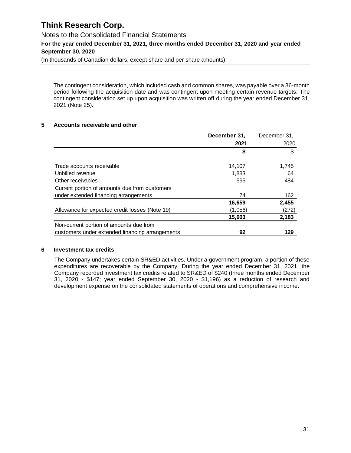Notes to the Consolidated Financial Statements

**For the year ended December 31, 2021, three months ended December 31, 2020 and year ended September 30, 2020** 

(In thousands of Canadian dollars, except share and per share amounts)

The contingent consideration, which included cash and common shares, was payable over a 36-month period following the acquisition date and was contingent upon meeting certain revenue targets. The contingent consideration set up upon acquisition was written off during the year ended December 31, 2021 (Note 25).

### **5 Accounts receivable and other**

|                                                 | December 31, | December 31, |
|-------------------------------------------------|--------------|--------------|
|                                                 | 2021         | 2020         |
|                                                 | \$           | \$           |
| Trade accounts receivable                       | 14,107       | 1,745        |
| Unbilled revenue                                | 1,883        | 64           |
| Other receivables                               | 595          | 484          |
| Current portion of amounts due from customers   |              |              |
| under extended financing arrangements           | 74           | 162          |
|                                                 | 16,659       | 2,455        |
| Allowance for expected credit losses (Note 19)  | (1,056)      | (272)        |
|                                                 | 15,603       | 2,183        |
| Non-current portion of amounts due from         |              |              |
| customers under extended financing arrangements | 92           | 129          |

### **6 Investment tax credits**

The Company undertakes certain SR&ED activities. Under a government program, a portion of these expenditures are recoverable by the Company. During the year ended December 31, 2021, the Company recorded investment tax credits related to SR&ED of \$240 (three months ended December 31, 2020 - \$147; year ended September 30, 2020 - \$1,196) as a reduction of research and development expense on the consolidated statements of operations and comprehensive income.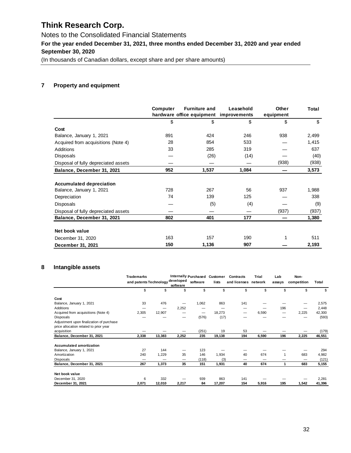Notes to the Consolidated Financial Statements

**For the year ended December 31, 2021, three months ended December 31, 2020 and year ended September 30, 2020** 

(In thousands of Canadian dollars, except share and per share amounts)

## **7 Property and equipment**

|                                      | <b>Computer</b> | <b>Furniture and</b><br>hardware office equipment improvements | Leasehold | Other<br>equipment | Total |
|--------------------------------------|-----------------|----------------------------------------------------------------|-----------|--------------------|-------|
|                                      | \$              | \$                                                             | \$        | \$                 | \$    |
| Cost                                 |                 |                                                                |           |                    |       |
| Balance, January 1, 2021             | 891             | 424                                                            | 246       | 938                | 2,499 |
| Acquired from acquisitions (Note 4)  | 28              | 854                                                            | 533       |                    | 1,415 |
| <b>Additions</b>                     | 33              | 285                                                            | 319       |                    | 637   |
| Disposals                            |                 | (26)                                                           | (14)      |                    | (40)  |
| Disposal of fully depreciated assets |                 |                                                                |           | (938)              | (938) |
| Balance, December 31, 2021           | 952             | 1,537                                                          | 1,084     |                    | 3,573 |
|                                      |                 |                                                                |           |                    |       |
| <b>Accumulated depreciation</b>      |                 |                                                                |           |                    |       |
| Balance, January 1, 2021             | 728             | 267                                                            | 56        | 937                | 1,988 |
| Depreciation                         | 74              | 139                                                            | 125       |                    | 338   |
| <b>Disposals</b>                     |                 | (5)                                                            | (4)       |                    | (9)   |
| Disposal of fully depreciated assets |                 |                                                                |           | (937)              | (937) |
| Balance, December 31, 2021           | 802             | 401                                                            | 177       |                    | 1,380 |
|                                      |                 |                                                                |           |                    |       |
| Net book value                       |                 |                                                                |           |                    |       |
| December 31, 2020                    | 163             | 157                                                            | 190       |                    | 511   |
| December 31, 2021                    | 150             | 1,136                                                          | 907       |                    | 2,193 |

## **8 Intangible assets**

|                                          | <b>Trademarks</b>      |        |                       | Internally Purchased Customer |        | <b>Contracts</b>     | Trial | Lab    | Non-        |        |
|------------------------------------------|------------------------|--------|-----------------------|-------------------------------|--------|----------------------|-------|--------|-------------|--------|
|                                          | and patents Technology |        | developed<br>software | software                      | lists  | and licenses network |       | assays | competition | Total  |
|                                          | \$                     | \$     | \$                    | \$                            | \$     | \$                   | \$    | \$     | \$          | \$     |
| Cost                                     |                        |        |                       |                               |        |                      |       |        |             |        |
| Balance, January 1, 2021                 | 33                     | 476    |                       | 1,062                         | 863    | 141                  |       |        |             | 2,575  |
| Additions                                | —                      |        | 2,252                 | ٠                             |        | —                    |       | 196    |             | 2,448  |
| Acquired from acquisitions (Note 4)      | 2,305                  | 12,907 |                       | $\hspace{0.05cm}$             | 18,273 | —                    | 6,590 | —      | 2,225       | 42,300 |
| Disposals                                |                        |        |                       | (576)                         | (17)   |                      |       |        |             | (593)  |
| Adjustment upon finalization of purchase |                        |        |                       |                               |        |                      |       |        |             |        |
| price allocation related to prior year   |                        |        |                       |                               |        |                      |       |        |             |        |
| acquisition                              |                        |        |                       | (251)                         | 19     | 53                   |       |        |             | (179)  |
| Balance, December 31, 2021               | 2,338                  | 13,383 | 2,252                 | 235                           | 19,138 | 194                  | 6,590 | 196    | 2,225       | 46,551 |
| <b>Accumulated amortization</b>          |                        |        |                       |                               |        |                      |       |        |             |        |
| Balance, January 1, 2021                 | 27                     | 144    |                       | 123                           |        |                      |       |        |             | 294    |
| Amortization                             | 240                    | 1,229  | 35                    | 146                           | 1,934  | 40                   | 674   |        | 683         | 4,982  |
| Disposals                                |                        |        | —                     | (118)                         | (3)    | –                    |       |        |             | (121)  |
| Balance, December 31, 2021               | 267                    | 1,373  | 35                    | 151                           | 1,931  | 40                   | 674   |        | 683         | 5,155  |
|                                          |                        |        |                       |                               |        |                      |       |        |             |        |
| Net book value                           |                        |        |                       |                               |        |                      |       |        |             |        |
| December 31, 2020                        | 6                      | 332    |                       | 939                           | 863    | 141                  |       |        |             | 2,281  |
| December 31, 2021                        | 2,071                  | 12,010 | 2,217                 | 84                            | 17,207 | 154                  | 5,916 | 195    | 1,542       | 41,396 |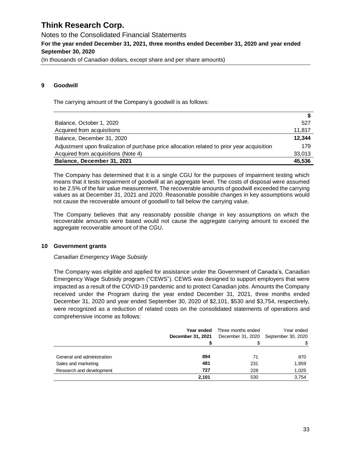Notes to the Consolidated Financial Statements

**For the year ended December 31, 2021, three months ended December 31, 2020 and year ended September 30, 2020** 

(In thousands of Canadian dollars, except share and per share amounts)

## **9 Goodwill**

The carrying amount of the Company's goodwill is as follows:

| Balance, December 31, 2021                                                                  | 45.536 |
|---------------------------------------------------------------------------------------------|--------|
| Acquired from acquisitions (Note 4)                                                         | 33,013 |
| Adjustment upon finalization of purchase price allocation related to prior year acquisition | 179    |
| Balance, December 31, 2020                                                                  | 12,344 |
| Acquired from acquisitions                                                                  | 11.817 |
| Balance, October 1, 2020                                                                    | 527    |
|                                                                                             |        |

The Company has determined that it is a single CGU for the purposes of impairment testing which means that it tests impairment of goodwill at an aggregate level. The costs of disposal were assumed to be 2.5% of the fair value measurement. The recoverable amounts of goodwill exceeded the carrying values as at December 31, 2021 and 2020. Reasonable possible changes in key assumptions would not cause the recoverable amount of goodwill to fall below the carrying value.

The Company believes that any reasonably possible change in key assumptions on which the recoverable amounts were based would not cause the aggregate carrying amount to exceed the aggregate recoverable amount of the CGU.

### **10 Government grants**

### *Canadian Emergency Wage Subsidy*

The Company was eligible and applied for assistance under the Government of Canada's, Canadian Emergency Wage Subsidy program ("CEWS"). CEWS was designed to support employers that were impacted as a result of the COVID-19 pandemic and to protect Canadian jobs. Amounts the Company received under the Program during the year ended December 31, 2021, three months ended December 31, 2020 and year ended September 30, 2020 of \$2,101, \$530 and \$3,754, respectively, were recognized as a reduction of related costs on the consolidated statements of operations and comprehensive income as follows:

|                            | Year ended<br>December 31, 2021 | Three months ended | Year ended<br>December 31, 2020 September 30, 2020 |
|----------------------------|---------------------------------|--------------------|----------------------------------------------------|
|                            |                                 |                    | S                                                  |
| General and administration | 894                             | 71                 | 870                                                |
| Sales and marketing        | 481                             | 231                | 1,859                                              |
| Research and development   | 727                             | 228                | 1,025                                              |
|                            | 2.101                           | 530                | 3,754                                              |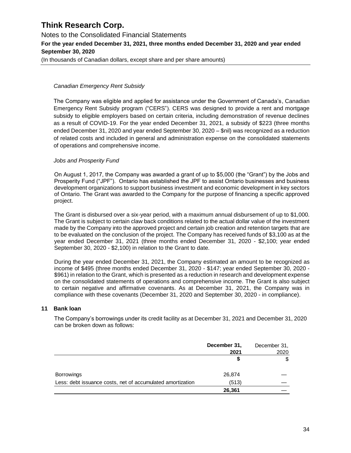Notes to the Consolidated Financial Statements **For the year ended December 31, 2021, three months ended December 31, 2020 and year ended September 30, 2020**  (In thousands of Canadian dollars, except share and per share amounts)

#### *Canadian Emergency Rent Subsidy*

The Company was eligible and applied for assistance under the Government of Canada's, Canadian Emergency Rent Subsidy program ("CERS"). CERS was designed to provide a rent and mortgage subsidy to eligible employers based on certain criteria, including demonstration of revenue declines as a result of COVID-19. For the year ended December 31, 2021, a subsidy of \$223 (three months ended December 31, 2020 and year ended September 30, 2020 – \$nil) was recognized as a reduction of related costs and included in general and administration expense on the consolidated statements of operations and comprehensive income.

#### *Jobs and Prosperity Fund*

On August 1, 2017, the Company was awarded a grant of up to \$5,000 (the "Grant") by the Jobs and Prosperity Fund ("JPF"). Ontario has established the JPF to assist Ontario businesses and business development organizations to support business investment and economic development in key sectors of Ontario. The Grant was awarded to the Company for the purpose of financing a specific approved project.

The Grant is disbursed over a six-year period, with a maximum annual disbursement of up to \$1,000. The Grant is subject to certain claw back conditions related to the actual dollar value of the investment made by the Company into the approved project and certain job creation and retention targets that are to be evaluated on the conclusion of the project. The Company has received funds of \$3,100 as at the year ended December 31, 2021 (three months ended December 31, 2020 - \$2,100; year ended September 30, 2020 - \$2,100) in relation to the Grant to date.

During the year ended December 31, 2021, the Company estimated an amount to be recognized as income of \$495 (three months ended December 31, 2020 - \$147; year ended September 30, 2020 - \$961) in relation to the Grant, which is presented as a reduction in research and development expense on the consolidated statements of operations and comprehensive income. The Grant is also subject to certain negative and affirmative covenants. As at December 31, 2021, the Company was in compliance with these covenants (December 31, 2020 and September 30, 2020 - in compliance).

#### **11 Bank loan**

The Company's borrowings under its credit facility as at December 31, 2021 and December 31, 2020 can be broken down as follows:

|                                                            | December 31, | December 31, |
|------------------------------------------------------------|--------------|--------------|
|                                                            | 2021         | 2020         |
|                                                            | \$           |              |
| <b>Borrowings</b>                                          | 26,874       |              |
| Less: debt issuance costs, net of accumulated amortization | (513)        |              |
|                                                            | 26,361       |              |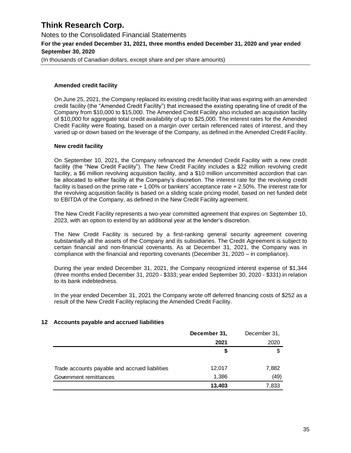Notes to the Consolidated Financial Statements **For the year ended December 31, 2021, three months ended December 31, 2020 and year ended September 30, 2020**  (In thousands of Canadian dollars, except share and per share amounts)

### **Amended credit facility**

On June 25, 2021, the Company replaced its existing credit facility that was expiring with an amended credit facility (the "Amended Credit Facility") that increased the existing operating line of credit of the Company from \$10,000 to \$15,000. The Amended Credit Facility also included an acquisition facility of \$10,000 for aggregate total credit availability of up to \$25,000. The interest rates for the Amended Credit Facility were floating, based on a margin over certain referenced rates of interest, and they varied up or down based on the leverage of the Company, as defined in the Amended Credit Facility.

#### **New credit facility**

On September 10, 2021, the Company refinanced the Amended Credit Facility with a new credit facility (the "New Credit Facility"). The New Credit Facility includes a \$22 million revolving credit facility, a \$6 million revolving acquisition facility, and a \$10 million uncommitted accordion that can be allocated to either facility at the Company's discretion. The interest rate for the revolving credit facility is based on the prime rate + 1.00% or bankers' acceptance rate + 2.50%. The interest rate for the revolving acquisition facility is based on a sliding scale pricing model, based on net funded debt to EBITDA of the Company, as defined in the New Credit Facility agreement.

The New Credit Facility represents a two-year committed agreement that expires on September 10, 2023, with an option to extend by an additional year at the lender's discretion.

The New Credit Facility is secured by a first-ranking general security agreement covering substantially all the assets of the Company and its subsidiaries. The Credit Agreement is subject to certain financial and non-financial covenants. As at December 31, 2021, the Company was in compliance with the financial and reporting covenants (December 31, 2020 – in compliance).

During the year ended December 31, 2021, the Company recognized interest expense of \$1,344 (three months ended December 31, 2020 - \$333; year ended September 30, 2020 - \$331) in relation to its bank indebtedness.

In the year ended December 31, 2021 the Company wrote off deferred financing costs of \$252 as a result of the New Credit Facility replacing the Amended Credit Facility.

|                                                | December 31, | December 31, |
|------------------------------------------------|--------------|--------------|
|                                                | 2021         | 2020         |
|                                                | S            | \$           |
| Trade accounts payable and accrued liabilities | 12,017       | 7,882        |
| Government remittances                         | 1,386        | (49)         |
|                                                | 13,403       | 7.833        |

#### **12 Accounts payable and accrued liabilities**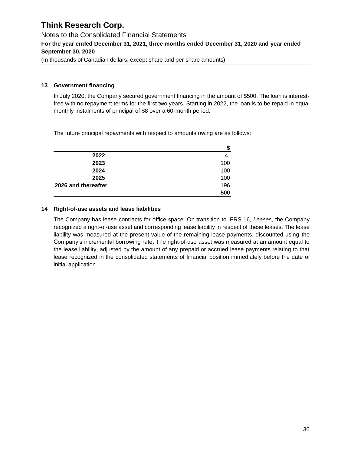Notes to the Consolidated Financial Statements

**For the year ended December 31, 2021, three months ended December 31, 2020 and year ended September 30, 2020** 

(In thousands of Canadian dollars, except share and per share amounts)

### **13 Government financing**

In July 2020, the Company secured government financing in the amount of \$500. The loan is interestfree with no repayment terms for the first two years. Starting in 2022, the loan is to be repaid in equal monthly instalments of principal of \$8 over a 60-month period.

The future principal repayments with respect to amounts owing are as follows:

|                     | \$  |
|---------------------|-----|
| 2022                |     |
| 2023                | 100 |
| 2024                | 100 |
| 2025                | 100 |
| 2026 and thereafter | 196 |
|                     | 500 |

## **14 Right-of-use assets and lease liabilities**

The Company has lease contracts for office space. On transition to IFRS 16, *Leases*, the Company recognized a right-of-use asset and corresponding lease liability in respect of these leases. The lease liability was measured at the present value of the remaining lease payments, discounted using the Company's incremental borrowing rate. The right-of-use asset was measured at an amount equal to the lease liability, adjusted by the amount of any prepaid or accrued lease payments relating to that lease recognized in the consolidated statements of financial position immediately before the date of initial application.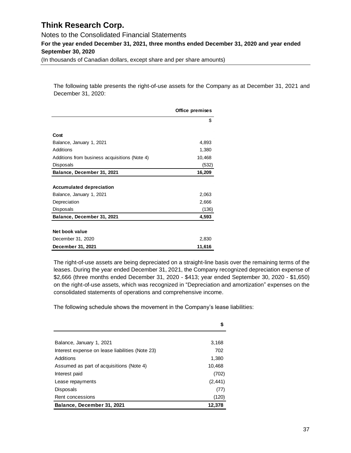Notes to the Consolidated Financial Statements

**For the year ended December 31, 2021, three months ended December 31, 2020 and year ended September 30, 2020** 

(In thousands of Canadian dollars, except share and per share amounts)

The following table presents the right-of-use assets for the Company as at December 31, 2021 and December 31, 2020:

|                                               | Office premises |
|-----------------------------------------------|-----------------|
|                                               | \$              |
| Cost                                          |                 |
| Balance, January 1, 2021                      | 4,893           |
| Additions                                     | 1,380           |
| Additions from business acquisitions (Note 4) | 10,468          |
| Disposals                                     | (532)           |
| Balance, December 31, 2021                    | 16,209          |
|                                               |                 |
| <b>Accumulated depreciation</b>               |                 |
| Balance, January 1, 2021                      | 2,063           |
| Depreciation                                  | 2,666           |
| Disposals                                     | (136)           |
| Balance, December 31, 2021                    | 4,593           |
|                                               |                 |
| Net book value                                |                 |
| December 31, 2020                             | 2,830           |
| December 31, 2021                             | 11,616          |

The right-of-use assets are being depreciated on a straight-line basis over the remaining terms of the leases. During the year ended December 31, 2021, the Company recognized depreciation expense of \$2,666 (three months ended December 31, 2020 - \$413; year ended September 30, 2020 - \$1,650) on the right-of-use assets, which was recognized in "Depreciation and amortization" expenses on the consolidated statements of operations and comprehensive income.

The following schedule shows the movement in the Company's lease liabilities:

|                                                 | \$       |
|-------------------------------------------------|----------|
|                                                 |          |
| Balance, January 1, 2021                        | 3,168    |
| Interest expense on lease liabilities (Note 23) | 702      |
| Additions                                       | 1,380    |
| Assumed as part of acquisitions (Note 4)        | 10,468   |
| Interest paid                                   | (702)    |
| Lease repayments                                | (2, 441) |
| Disposals                                       | (77)     |
| Rent concessions                                | (120)    |
| Balance, December 31, 2021                      | 12,378   |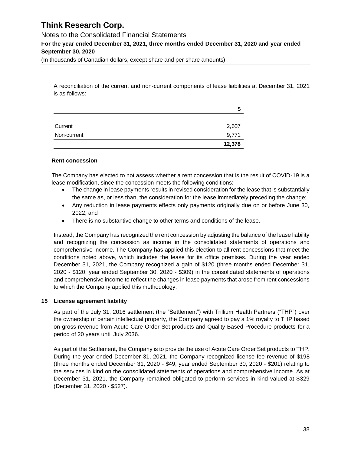Notes to the Consolidated Financial Statements

**For the year ended December 31, 2021, three months ended December 31, 2020 and year ended September 30, 2020** 

(In thousands of Canadian dollars, except share and per share amounts)

A reconciliation of the current and non-current components of lease liabilities at December 31, 2021 is as follows:

|             | æ      |
|-------------|--------|
|             |        |
| Current     | 2,607  |
| Non-current | 9,771  |
|             | 12,378 |

## **Rent concession**

The Company has elected to not assess whether a rent concession that is the result of COVID-19 is a lease modification, since the concession meets the following conditions:

- The change in lease payments results in revised consideration for the lease that is substantially the same as, or less than, the consideration for the lease immediately preceding the change;
- Any reduction in lease payments effects only payments originally due on or before June 30, 2022; and
- There is no substantive change to other terms and conditions of the lease.

Instead, the Company has recognized the rent concession by adjusting the balance of the lease liability and recognizing the concession as income in the consolidated statements of operations and comprehensive income. The Company has applied this election to all rent concessions that meet the conditions noted above, which includes the lease for its office premises. During the year ended December 31, 2021, the Company recognized a gain of \$120 (three months ended December 31, 2020 - \$120; year ended September 30, 2020 - \$309) in the consolidated statements of operations and comprehensive income to reflect the changes in lease payments that arose from rent concessions to which the Company applied this methodology.

## **15 License agreement liability**

As part of the July 31, 2016 settlement (the "Settlement") with Trillium Health Partners ("THP") over the ownership of certain intellectual property, the Company agreed to pay a 1% royalty to THP based on gross revenue from Acute Care Order Set products and Quality Based Procedure products for a period of 20 years until July 2036.

As part of the Settlement, the Company is to provide the use of Acute Care Order Set products to THP. During the year ended December 31, 2021, the Company recognized license fee revenue of \$198 (three months ended December 31, 2020 - \$49; year ended September 30, 2020 - \$201) relating to the services in kind on the consolidated statements of operations and comprehensive income. As at December 31, 2021, the Company remained obligated to perform services in kind valued at \$329 (December 31, 2020 - \$527).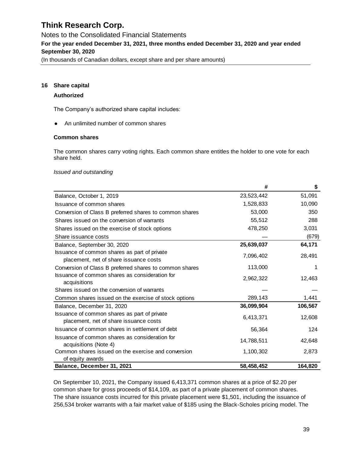Notes to the Consolidated Financial Statements

**For the year ended December 31, 2021, three months ended December 31, 2020 and year ended September 30, 2020** 

(In thousands of Canadian dollars, except share and per share amounts)

### **16 Share capital**

### **Authorized**

The Company's authorized share capital includes:

● An unlimited number of common shares

#### **Common shares**

The common shares carry voting rights. Each common share entitles the holder to one vote for each share held.

#### *Issued and outstanding*

|                                                                                        | #          | \$      |
|----------------------------------------------------------------------------------------|------------|---------|
| Balance, October 1, 2019                                                               | 23,523,442 | 51,091  |
| Issuance of common shares                                                              | 1,528,833  | 10,090  |
| Conversion of Class B preferred shares to common shares                                | 53,000     | 350     |
| Shares issued on the conversion of warrants                                            | 55,512     | 288     |
| Shares issued on the exercise of stock options                                         | 478,250    | 3,031   |
| Share issuance costs                                                                   |            | (679)   |
| Balance, September 30, 2020                                                            | 25,639,037 | 64,171  |
| Issuance of common shares as part of private<br>placement, net of share issuance costs | 7,096,402  | 28,491  |
| Conversion of Class B preferred shares to common shares                                | 113,000    | 1       |
| Issuance of common shares as consideration for<br>acquisitions                         | 2,962,322  | 12,463  |
| Shares issued on the conversion of warrants                                            |            |         |
| Common shares issued on the exercise of stock options                                  | 289,143    | 1,441   |
| Balance, December 31, 2020                                                             | 36,099,904 | 106,567 |
| Issuance of common shares as part of private<br>placement, net of share issuance costs | 6,413,371  | 12,608  |
| Issuance of common shares in settlement of debt                                        | 56,364     | 124     |
| Issuance of common shares as consideration for<br>acquisitions (Note 4)                | 14,788,511 | 42,648  |
| Common shares issued on the exercise and conversion                                    | 1,100,302  | 2,873   |
| of equity awards                                                                       |            |         |
| Balance, December 31, 2021                                                             | 58,458,452 | 164,820 |

On September 10, 2021, the Company issued 6,413,371 common shares at a price of \$2.20 per common share for gross proceeds of \$14,109, as part of a private placement of common shares. The share issuance costs incurred for this private placement were \$1,501, including the issuance of 256,534 broker warrants with a fair market value of \$185 using the Black-Scholes pricing model. The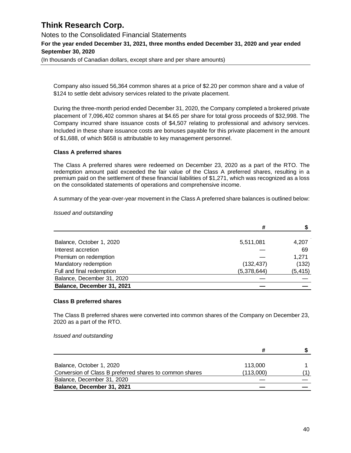Notes to the Consolidated Financial Statements **For the year ended December 31, 2021, three months ended December 31, 2020 and year ended September 30, 2020** 

(In thousands of Canadian dollars, except share and per share amounts)

Company also issued 56,364 common shares at a price of \$2.20 per common share and a value of \$124 to settle debt advisory services related to the private placement.

During the three-month period ended December 31, 2020, the Company completed a brokered private placement of 7,096,402 common shares at \$4.65 per share for total gross proceeds of \$32,998. The Company incurred share issuance costs of \$4,507 relating to professional and advisory services. Included in these share issuance costs are bonuses payable for this private placement in the amount of \$1,688, of which \$658 is attributable to key management personnel.

#### **Class A preferred shares**

The Class A preferred shares were redeemed on December 23, 2020 as a part of the RTO. The redemption amount paid exceeded the fair value of the Class A preferred shares, resulting in a premium paid on the settlement of these financial liabilities of \$1,271, which was recognized as a loss on the consolidated statements of operations and comprehensive income.

A summary of the year-over-year movement in the Class A preferred share balances is outlined below:

*Issued and outstanding*

|                            | #           |          |
|----------------------------|-------------|----------|
|                            |             |          |
| Balance, October 1, 2020   | 5,511,081   | 4,207    |
| Interest accretion         |             | -69      |
| Premium on redemption      |             | 1.271    |
| Mandatory redemption       | (132, 437)  | (132)    |
| Full and final redemption  | (5,378,644) | (5, 415) |
| Balance, December 31, 2020 |             |          |
| Balance, December 31, 2021 |             |          |

### **Class B preferred shares**

The Class B preferred shares were converted into common shares of the Company on December 23, 2020 as a part of the RTO.

*Issued and outstanding*

| Balance, October 1, 2020                                | 113.000   |  |
|---------------------------------------------------------|-----------|--|
| Conversion of Class B preferred shares to common shares | (113,000) |  |
| Balance, December 31, 2020                              |           |  |
| Balance, December 31, 2021                              |           |  |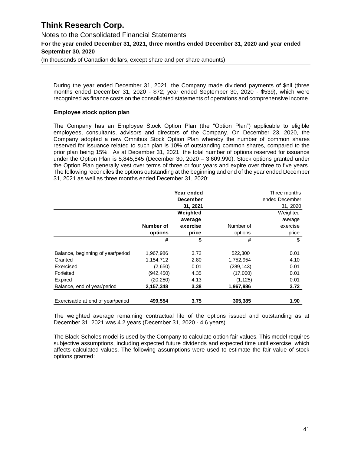Notes to the Consolidated Financial Statements **For the year ended December 31, 2021, three months ended December 31, 2020 and year ended September 30, 2020** 

(In thousands of Canadian dollars, except share and per share amounts)

During the year ended December 31, 2021, the Company made dividend payments of \$nil (three months ended December 31, 2020 - \$72; year ended September 30, 2020 - \$539), which were recognized as finance costs on the consolidated statements of operations and comprehensive income.

#### **Employee stock option plan**

The Company has an Employee Stock Option Plan (the "Option Plan") applicable to eligible employees, consultants, advisors and directors of the Company. On December 23, 2020, the Company adopted a new Omnibus Stock Option Plan whereby the number of common shares reserved for issuance related to such plan is 10% of outstanding common shares, compared to the prior plan being 15%. As at December 31, 2021, the total number of options reserved for issuance under the Option Plan is 5,845,845 (December 30, 2020 – 3,609,990). Stock options granted under the Option Plan generally vest over terms of three or four years and expire over three to five years. The following reconciles the options outstanding at the beginning and end of the year ended December 31, 2021 as well as three months ended December 31, 2020:

|                                   |            | Year ended      |            | Three months   |
|-----------------------------------|------------|-----------------|------------|----------------|
|                                   |            | <b>December</b> |            | ended December |
|                                   |            | 31, 2021        |            | 31, 2020       |
|                                   |            | Weighted        |            | Weighted       |
|                                   |            | average         |            | average        |
|                                   | Number of  | exercise        | Number of  | exercise       |
|                                   | options    | price           | options    | price          |
|                                   | #          | \$              | #          | \$             |
| Balance, beginning of year/period | 1,967,986  | 3.72            | 522,300    | 0.01           |
| Granted                           | 1,154,712  | 2.80            | 1,752,954  | 4.10           |
| Exercised                         | (2,650)    | 0.01            | (289, 143) | 0.01           |
| Forfeited                         | (942, 450) | 4.35            | (17,000)   | 0.01           |
| Expired                           | (20, 250)  | 4.13            | (1, 125)   | 0.01           |
| Balance, end of year/period       | 2,157,348  | 3.38            | 1,967,986  | 3.72           |
| Exercisable at end of year/period | 499,554    | 3.75            | 305,385    | 1.90           |

The weighted average remaining contractual life of the options issued and outstanding as at December 31, 2021 was 4.2 years (December 31, 2020 - 4.6 years).

The Black-Scholes model is used by the Company to calculate option fair values. This model requires subjective assumptions, including expected future dividends and expected time until exercise, which affects calculated values. The following assumptions were used to estimate the fair value of stock options granted: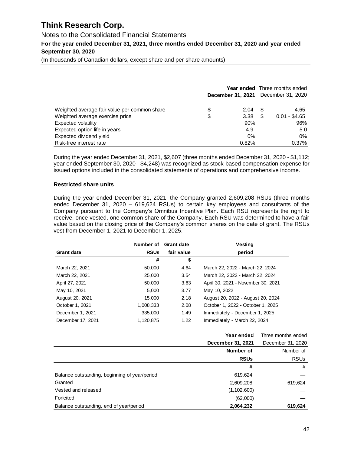Notes to the Consolidated Financial Statements

**For the year ended December 31, 2021, three months ended December 31, 2020 and year ended September 30, 2020** 

(In thousands of Canadian dollars, except share and per share amounts)

|                                              |            | <b>Year ended</b> Three months ended<br>December 31, 2021 December 31, 2020 |
|----------------------------------------------|------------|-----------------------------------------------------------------------------|
| Weighted average fair value per common share | \$<br>2.04 | 4.65                                                                        |
| Weighted average exercise price              | \$<br>3.38 | $0.01 - $4.65$                                                              |
| <b>Expected volatility</b>                   | 90%        | 96%                                                                         |
| Expected option life in years                | 4.9        | 5.0                                                                         |
| Expected dividend yield                      | $0\%$      | $0\%$                                                                       |
| Risk-free interest rate                      | 0.82%      | 0.37%                                                                       |

During the year ended December 31, 2021, \$2,607 (three months ended December 31, 2020 - \$1,112; year ended September 30, 2020 - \$4,248) was recognized as stock-based compensation expense for issued options included in the consolidated statements of operations and comprehensive income.

## **Restricted share units**

During the year ended December 31, 2021, the Company granted 2,609,208 RSUs (three months ended December 31, 2020 – 619,624 RSUs) to certain key employees and consultants of the Company pursuant to the Company's Omnibus Incentive Plan. Each RSU represents the right to receive, once vested, one common share of the Company. Each RSU was determined to have a fair value based on the closing price of the Company's common shares on the date of grant. The RSUs vest from December 1, 2021 to December 1, 2025.

|                   | Number of   | <b>Grant date</b> | Vesting                            |
|-------------------|-------------|-------------------|------------------------------------|
| <b>Grant date</b> | <b>RSUs</b> | fair value        | period                             |
|                   | #           | \$                |                                    |
| March 22, 2021    | 50,000      | 4.64              | March 22, 2022 - March 22, 2024    |
| March 22, 2021    | 25.000      | 3.54              | March 22, 2022 - March 22, 2024    |
| April 27, 2021    | 50,000      | 3.63              | April 30, 2021 - November 30, 2021 |
| May 10, 2021      | 5.000       | 3.77              | May 10, 2022                       |
| August 20, 2021   | 15.000      | 2.18              | August 20, 2022 - August 20, 2024  |
| October 1, 2021   | 1.008.333   | 2.08              | October 1, 2022 - October 1, 2025  |
| December 1, 2021  | 335,000     | 1.49              | Immediately - December 1, 2025     |
| December 17, 2021 | 1,120,875   | 1.22              | Immediately - March 22, 2024       |

|                                               | Year ended        | Three months ended |
|-----------------------------------------------|-------------------|--------------------|
|                                               | December 31, 2021 | December 31, 2020  |
|                                               | Number of         | Number of          |
|                                               | <b>RSUs</b>       | <b>RSUs</b>        |
|                                               | #                 | #                  |
| Balance outstanding, beginning of year/period | 619,624           |                    |
| Granted                                       | 2,609,208         | 619,624            |
| Vested and released                           | (1, 102, 600)     |                    |
| Forfeited                                     | (62,000)          |                    |
| Balance outstanding, end of year/period       | 2,064,232         | 619,624            |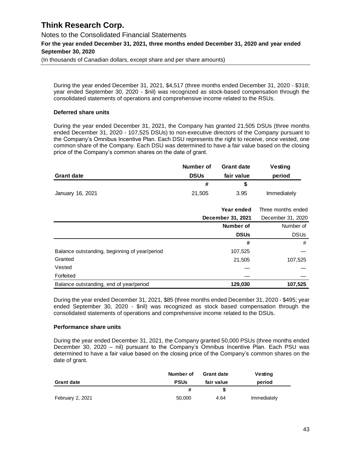Notes to the Consolidated Financial Statements

**For the year ended December 31, 2021, three months ended December 31, 2020 and year ended September 30, 2020** 

(In thousands of Canadian dollars, except share and per share amounts)

During the year ended December 31, 2021, \$4,517 (three months ended December 31, 2020 - \$318; year ended September 30, 2020 - \$nil) was recognized as stock-based compensation through the consolidated statements of operations and comprehensive income related to the RSUs.

### **Deferred share units**

During the year ended December 31, 2021, the Company has granted 21,505 DSUs (three months ended December 31, 2020 - 107,525 DSUs) to non-executive directors of the Company pursuant to the Company's Omnibus Incentive Plan. Each DSU represents the right to receive, once vested, one common share of the Company. Each DSU was determined to have a fair value based on the closing price of the Company's common shares on the date of grant.

|                                               | Number of   | <b>Grant date</b> | Vesting            |
|-----------------------------------------------|-------------|-------------------|--------------------|
| <b>Grant date</b>                             | <b>DSUs</b> | fair value        | period             |
|                                               | #           | \$                |                    |
| January 16, 2021                              | 21,505      | 3.95              | Immediately        |
|                                               |             | Year ended        | Three months ended |
|                                               |             | December 31, 2021 | December 31, 2020  |
|                                               |             | Number of         | Number of          |
|                                               |             | <b>DSUs</b>       | <b>DSUs</b>        |
|                                               |             | #                 | #                  |
| Balance outstanding, beginning of year/period |             | 107,525           |                    |
| Granted                                       |             | 21,505            | 107,525            |
| Vested                                        |             |                   |                    |
| Forfeited                                     |             |                   |                    |
| Balance outstanding, end of year/period       |             | 129,030           | 107,525            |

During the year ended December 31, 2021, \$85 (three months ended December 31, 2020 - \$495; year ended September 30, 2020 - \$nil) was recognized as stock based compensation through the consolidated statements of operations and comprehensive income related to the DSUs.

### **Performance share units**

During the year ended December 31, 2021, the Company granted 50,000 PSUs (three months ended December 30, 2020 – nil) pursuant to the Company's Omnibus Incentive Plan. Each PSU was determined to have a fair value based on the closing price of the Company's common shares on the date of grant.

|                   | Number of   | <b>Grant date</b> | Vesting     |
|-------------------|-------------|-------------------|-------------|
| <b>Grant date</b> | <b>PSUs</b> | fair value        | period      |
|                   | #           |                   |             |
| February 2, 2021  | 50,000      | 4.64              | Immediately |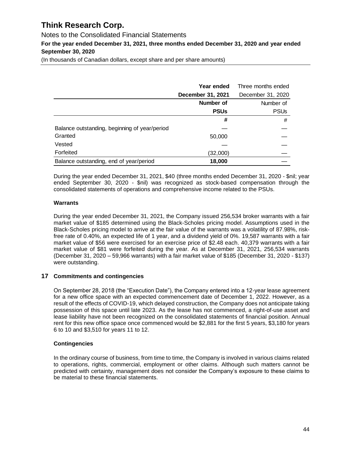Notes to the Consolidated Financial Statements

**For the year ended December 31, 2021, three months ended December 31, 2020 and year ended September 30, 2020** 

(In thousands of Canadian dollars, except share and per share amounts)

|                                               | Year ended        | Three months ended |
|-----------------------------------------------|-------------------|--------------------|
|                                               | December 31, 2021 | December 31, 2020  |
|                                               | Number of         | Number of          |
|                                               | <b>PSUs</b>       | <b>PSUs</b>        |
|                                               | #                 | #                  |
| Balance outstanding, beginning of year/period |                   |                    |
| Granted                                       | 50,000            |                    |
| Vested                                        |                   |                    |
| Forfeited                                     | (32,000)          |                    |
| Balance outstanding, end of year/period       | 18,000            |                    |

During the year ended December 31, 2021, \$40 (three months ended December 31, 2020 - \$nil; year ended September 30, 2020 - \$nil) was recognized as stock-based compensation through the consolidated statements of operations and comprehensive income related to the PSUs.

## **Warrants**

During the year ended December 31, 2021, the Company issued 256,534 broker warrants with a fair market value of \$185 determined using the Black-Scholes pricing model. Assumptions used in the Black-Scholes pricing model to arrive at the fair value of the warrants was a volatility of 87.98%, riskfree rate of 0.40%, an expected life of 1 year, and a dividend yield of 0%. 19,587 warrants with a fair market value of \$56 were exercised for an exercise price of \$2.48 each. 40,379 warrants with a fair market value of \$81 were forfeited during the year. As at December 31, 2021, 256,534 warrants (December 31, 2020 – 59,966 warrants) with a fair market value of \$185 (December 31, 2020 - \$137) were outstanding.

### **17 Commitments and contingencies**

On September 28, 2018 (the "Execution Date"), the Company entered into a 12-year lease agreement for a new office space with an expected commencement date of December 1, 2022. However, as a result of the effects of COVID-19, which delayed construction, the Company does not anticipate taking possession of this space until late 2023. As the lease has not commenced, a right-of-use asset and lease liability have not been recognized on the consolidated statements of financial position. Annual rent for this new office space once commenced would be \$2,881 for the first 5 years, \$3,180 for years 6 to 10 and \$3,510 for years 11 to 12.

### **Contingencies**

In the ordinary course of business, from time to time, the Company is involved in various claims related to operations, rights, commercial, employment or other claims. Although such matters cannot be predicted with certainty, management does not consider the Company's exposure to these claims to be material to these financial statements.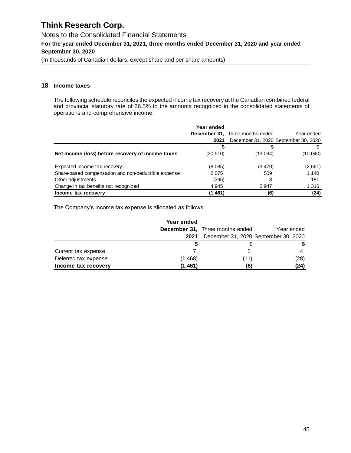Notes to the Consolidated Financial Statements

**For the year ended December 31, 2021, three months ended December 31, 2020 and year ended September 30, 2020** 

(In thousands of Canadian dollars, except share and per share amounts)

## **18 Income taxes**

The following schedule reconciles the expected income tax recovery at the Canadian combined federal and provincial statutory rate of 26.5% to the amounts recognized in the consolidated statements of operations and comprehensive income:

|                                                     | Year ended |                                        |                                      |
|-----------------------------------------------------|------------|----------------------------------------|--------------------------------------|
|                                                     |            | <b>December 31.</b> Three months ended | Year ended                           |
|                                                     | 2021       |                                        | December 31, 2020 September 30, 2020 |
|                                                     |            |                                        |                                      |
| Net Income (loss) before recovery of income taxes   | (30, 510)  | (13,094)                               | (10,040)                             |
| Expected income tax recovery                        | (8,085)    | (3, 470)                               | (2,661)                              |
| Share-based compensation and non-deductible expense | 2,075      | 509                                    | 1.140                                |
| Other adjustments                                   | (396)      | 8                                      | 181                                  |
| Change in tax benefits not recognized               | 4,945      | 2,947                                  | 1,316                                |
| Income tax recovery                                 | (1,461)    | (6)                                    | (24)                                 |

The Company's income tax expense is allocated as follows:

|                      | Year ended |                                        |                                      |
|----------------------|------------|----------------------------------------|--------------------------------------|
|                      |            | <b>December 31, Three months ended</b> | Year ended                           |
|                      | 2021       |                                        | December 31, 2020 September 30, 2020 |
|                      |            |                                        | \$.                                  |
| Current tax expense  |            | 5                                      |                                      |
| Deferred tax expense | (1,468)    | 11)                                    | (28)                                 |
| Income tax recovery  | (1.461)    | (6)                                    | (24)                                 |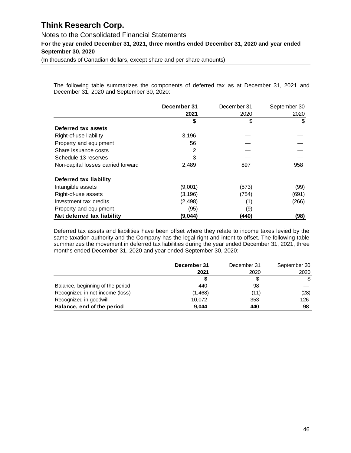Notes to the Consolidated Financial Statements

**For the year ended December 31, 2021, three months ended December 31, 2020 and year ended September 30, 2020** 

(In thousands of Canadian dollars, except share and per share amounts)

The following table summarizes the components of deferred tax as at December 31, 2021 and December 31, 2020 and September 30, 2020:

|                                    | December 31    | December 31 | September 30 |
|------------------------------------|----------------|-------------|--------------|
|                                    | 2021           | 2020        | 2020         |
|                                    | \$             | \$          | \$           |
| Deferred tax assets                |                |             |              |
| Right-of-use liability             | 3,196          |             |              |
| Property and equipment             | 56             |             |              |
| Share issuance costs               | $\overline{2}$ |             |              |
| Schedule 13 reserves               | 3              |             |              |
| Non-capital losses carried forward | 2,489          | 897         | 958          |
| Deferred tax liability             |                |             |              |
| Intangible assets                  | (9,001)        | (573)       | (99)         |
| Right-of-use assets                | (3, 196)       | (754)       | (691)        |
| Investment tax credits             | (2, 498)       | (1)         | (266)        |
| Property and equipment             | (95)           | (9)         |              |
| Net deferred tax liability         | (9,044)        | (440)       | (98)         |

Deferred tax assets and liabilities have been offset where they relate to income taxes levied by the same taxation authority and the Company has the legal right and intent to offset. The following table summarizes the movement in deferred tax liabilities during the year ended December 31, 2021, three months ended December 31, 2020 and year ended September 30, 2020:

|                                  | December 31 | December 31 | September 30 |
|----------------------------------|-------------|-------------|--------------|
|                                  | 2021        | 2020        | 2020         |
|                                  |             |             | \$           |
| Balance, beginning of the period | 440         | 98          |              |
| Recognized in net income (loss)  | (1, 468)    | (11)        | (28)         |
| Recognized in goodwill           | 10.072      | 353         | 126          |
| Balance, end of the period       | 9.044       | 440         | 98           |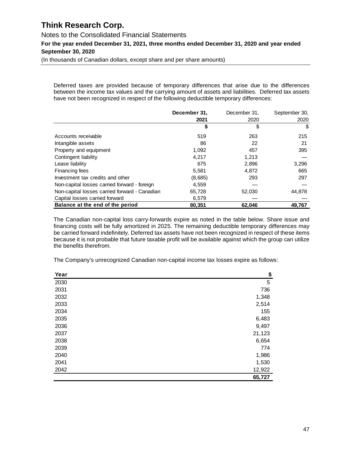Notes to the Consolidated Financial Statements

**For the year ended December 31, 2021, three months ended December 31, 2020 and year ended September 30, 2020** 

(In thousands of Canadian dollars, except share and per share amounts)

Deferred taxes are provided because of temporary differences that arise due to the differences between the income tax values and the carrying amount of assets and liabilities. Deferred tax assets have not been recognized in respect of the following deductible temporary differences:

|                                               | December 31, | December 31, | September 30, |
|-----------------------------------------------|--------------|--------------|---------------|
|                                               | 2021         | 2020         | 2020          |
|                                               | \$           | \$           | \$            |
| Accounts receivable                           | 519          | 263          | 215           |
| Intangible assets                             | 86           | 22           | 21            |
| Property and equipment                        | 1,092        | 457          | 395           |
| Contingent liability                          | 4.217        | 1,213        |               |
| Lease liability                               | 675          | 2,896        | 3,296         |
| Financing fees                                | 5.581        | 4.872        | 665           |
| Investment tax credits and other              | (8,685)      | 293          | 297           |
| Non-capital losses carried forward - foreign  | 4,559        |              |               |
| Non-capital losses carried forward - Canadian | 65.728       | 52,030       | 44,878        |
| Capital losses carried forward                | 6,579        |              |               |
| Balance at the end of the period              | 80,351       | 62,046       | 49.767        |

The Canadian non-capital loss carry-forwards expire as noted in the table below. Share issue and financing costs will be fully amortized in 2025. The remaining deductible temporary differences may be carried forward indefinitely. Deferred tax assets have not been recognized in respect of these items because it is not probable that future taxable profit will be available against which the group can utilize the benefits therefrom.

| Year | \$     |
|------|--------|
| 2030 | 5      |
| 2031 | 736    |
| 2032 | 1,348  |
| 2033 | 2,514  |
| 2034 | 155    |
| 2035 | 6,483  |
| 2036 | 9,497  |
| 2037 | 21,123 |
| 2038 | 6,654  |
| 2039 | 774    |
| 2040 | 1,986  |
| 2041 | 1,530  |
| 2042 | 12,922 |
|      | 65,727 |

The Company's unrecognized Canadian non-capital income tax losses expire as follows: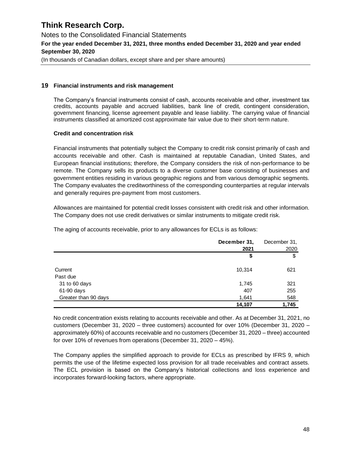Notes to the Consolidated Financial Statements **For the year ended December 31, 2021, three months ended December 31, 2020 and year ended September 30, 2020**  (In thousands of Canadian dollars, except share and per share amounts)

#### **19 Financial instruments and risk management**

The Company's financial instruments consist of cash, accounts receivable and other, investment tax credits, accounts payable and accrued liabilities, bank line of credit, contingent consideration, government financing, license agreement payable and lease liability. The carrying value of financial instruments classified at amortized cost approximate fair value due to their short-term nature.

#### **Credit and concentration risk**

Financial instruments that potentially subject the Company to credit risk consist primarily of cash and accounts receivable and other. Cash is maintained at reputable Canadian, United States, and European financial institutions; therefore, the Company considers the risk of non-performance to be remote. The Company sells its products to a diverse customer base consisting of businesses and government entities residing in various geographic regions and from various demographic segments. The Company evaluates the creditworthiness of the corresponding counterparties at regular intervals and generally requires pre-payment from most customers.

Allowances are maintained for potential credit losses consistent with credit risk and other information. The Company does not use credit derivatives or similar instruments to mitigate credit risk.

|  |  | The aging of accounts receivable, prior to any allowances for ECLs is as follows: |
|--|--|-----------------------------------------------------------------------------------|
|  |  |                                                                                   |
|  |  |                                                                                   |
|  |  |                                                                                   |

|                      | December 31, | December 31, |
|----------------------|--------------|--------------|
|                      | 2021         | 2020         |
|                      | \$           | \$           |
| Current              | 10,314       | 621          |
| Past due             |              |              |
| 31 to 60 days        | 1,745        | 321          |
| 61-90 days           | 407          | 255          |
| Greater than 90 days | 1,641        | 548          |
|                      | 14,107       | 1,745        |

No credit concentration exists relating to accounts receivable and other. As at December 31, 2021, no customers (December 31, 2020 – three customers) accounted for over 10% (December 31, 2020 – approximately 60%) of accounts receivable and no customers (December 31, 2020 – three) accounted for over 10% of revenues from operations (December 31, 2020 – 45%).

The Company applies the simplified approach to provide for ECLs as prescribed by IFRS 9, which permits the use of the lifetime expected loss provision for all trade receivables and contract assets. The ECL provision is based on the Company's historical collections and loss experience and incorporates forward-looking factors, where appropriate.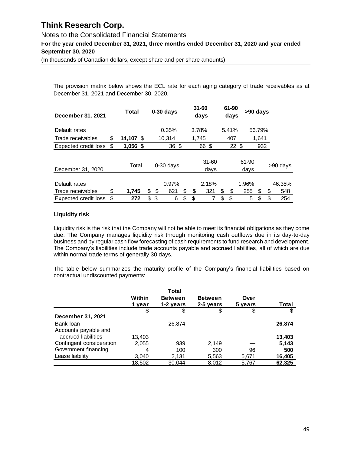Notes to the Consolidated Financial Statements

**For the year ended December 31, 2021, three months ended December 31, 2020 and year ended September 30, 2020** 

(In thousands of Canadian dollars, except share and per share amounts)

The provision matrix below shows the ECL rate for each aging category of trade receivables as at December 31, 2021 and December 30, 2020.

| December 31, 2021                  |     | Total      |          | $0-30$ days      |    | $31 - 60$<br>days  | 61-90<br>days   |               |   | >90 days |                     |
|------------------------------------|-----|------------|----------|------------------|----|--------------------|-----------------|---------------|---|----------|---------------------|
| Default rates                      |     |            |          | 0.35%            |    | 3.78%              | 5.41%           |               |   | 56.79%   |                     |
| Trade receivables                  | \$  | 14.107 \$  |          | 10.314           |    | 1.745              | 407             |               |   | 1,641    |                     |
| Expected credit loss               | -\$ | $1,056$ \$ |          | $36 \; \text{$}$ |    | 66 \$              | $22 \text{ } $$ |               |   | 932      |                     |
| December 31, 2020                  |     | Total      |          | $0-30$ days      |    | $31 - 60$<br>days  |                 | 61-90<br>days |   |          | >90 days            |
| Default rates<br>Trade receivables | \$  | 1.745      | \$<br>\$ | 0.97%<br>621     | S  | \$<br>2.18%<br>321 | \$<br>\$        | 1.96%<br>255  |   | S        | \$<br>46.35%<br>548 |
| Expected credit loss               | \$  | 272        | \$<br>\$ | 6                | \$ | \$<br>7            | \$<br>\$        |               | 5 | \$       | \$<br>254           |

## **Liquidity risk**

Liquidity risk is the risk that the Company will not be able to meet its financial obligations as they come due. The Company manages liquidity risk through monitoring cash outflows due in its day-to-day business and by regular cash flow forecasting of cash requirements to fund research and development. The Company's liabilities include trade accounts payable and accrued liabilities, all of which are due within normal trade terms of generally 30 days.

The table below summarizes the maturity profile of the Company's financial liabilities based on contractual undiscounted payments:

|                          |        | Total          |                |         |        |
|--------------------------|--------|----------------|----------------|---------|--------|
|                          | Within | <b>Between</b> | <b>Between</b> | Over    |        |
|                          | 1 year | 1-2 years      | 2-5 years      | 5 years | Total  |
|                          | \$     | \$             | \$             | \$      | \$     |
| December 31, 2021        |        |                |                |         |        |
| Bank loan                |        | 26.874         |                |         | 26,874 |
| Accounts payable and     |        |                |                |         |        |
| accrued liabilities      | 13,403 |                |                |         | 13,403 |
| Contingent consideration | 2,055  | 939            | 2,149          |         | 5,143  |
| Government financing     | 4      | 100            | 300            | 96      | 500    |
| Lease liability          | 3,040  | 2,131          | 5,563          | 5,671   | 16,405 |
|                          | 18,502 | 30.044         | 8,012          | 5.767   | 62,325 |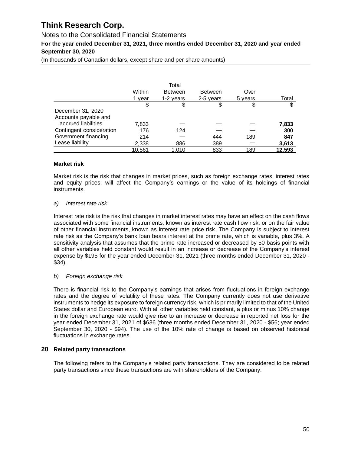Notes to the Consolidated Financial Statements

**For the year ended December 31, 2021, three months ended December 31, 2020 and year ended September 30, 2020** 

(In thousands of Canadian dollars, except share and per share amounts)

|                          |        | Total          |                |         |        |
|--------------------------|--------|----------------|----------------|---------|--------|
|                          | Within | <b>Between</b> | <b>Between</b> | Over    |        |
|                          | 1 vear | 1-2 years      | 2-5 years      | 5 years | Total  |
|                          | \$     | \$             | \$             | \$      | \$     |
| December 31, 2020        |        |                |                |         |        |
| Accounts payable and     |        |                |                |         |        |
| accrued liabilities      | 7,833  |                |                |         | 7,833  |
| Contingent consideration | 176    | 124            |                |         | 300    |
| Government financing     | 214    |                | 444            | 189     | 847    |
| Lease liability          | 2,338  | 886            | 389            |         | 3,613  |
|                          | 10,561 | 1.010          | 833            | 189     | 12,593 |

### **Market risk**

Market risk is the risk that changes in market prices, such as foreign exchange rates, interest rates and equity prices, will affect the Company's earnings or the value of its holdings of financial instruments.

### *a) Interest rate risk*

Interest rate risk is the risk that changes in market interest rates may have an effect on the cash flows associated with some financial instruments, known as interest rate cash flow risk, or on the fair value of other financial instruments, known as interest rate price risk. The Company is subject to interest rate risk as the Company's bank loan bears interest at the prime rate, which is variable, plus 3%. A sensitivity analysis that assumes that the prime rate increased or decreased by 50 basis points with all other variables held constant would result in an increase or decrease of the Company's interest expense by \$195 for the year ended December 31, 2021 (three months ended December 31, 2020 - \$34).

### *b) Foreign exchange risk*

There is financial risk to the Company's earnings that arises from fluctuations in foreign exchange rates and the degree of volatility of these rates. The Company currently does not use derivative instruments to hedge its exposure to foreign currency risk, which is primarily limited to that of the United States dollar and European euro. With all other variables held constant, a plus or minus 10% change in the foreign exchange rate would give rise to an increase or decrease in reported net loss for the year ended December 31, 2021 of \$636 (three months ended December 31, 2020 - \$56; year ended September 30, 2020 - \$94). The use of the 10% rate of change is based on observed historical fluctuations in exchange rates.

### **20 Related party transactions**

The following refers to the Company's related party transactions. They are considered to be related party transactions since these transactions are with shareholders of the Company.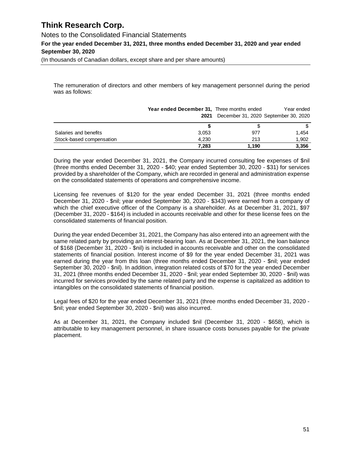Notes to the Consolidated Financial Statements

**For the year ended December 31, 2021, three months ended December 31, 2020 and year ended September 30, 2020** 

(In thousands of Canadian dollars, except share and per share amounts)

The remuneration of directors and other members of key management personnel during the period was as follows:

|                          | <b>Year ended December 31.</b> Three months ended<br>2021 |       | Year ended<br>December 31, 2020 September 30, 2020 |
|--------------------------|-----------------------------------------------------------|-------|----------------------------------------------------|
|                          |                                                           |       |                                                    |
| Salaries and benefits    | 3,053                                                     | 977   | 1,454                                              |
| Stock-based compensation | 4,230                                                     | 213   | 1,902                                              |
|                          | 7.283                                                     | 1.190 | 3,356                                              |

During the year ended December 31, 2021, the Company incurred consulting fee expenses of \$nil (three months ended December 31, 2020 - \$40; year ended September 30, 2020 - \$31) for services provided by a shareholder of the Company, which are recorded in general and administration expense on the consolidated statements of operations and comprehensive income.

Licensing fee revenues of \$120 for the year ended December 31, 2021 (three months ended December 31, 2020 - \$nil; year ended September 30, 2020 - \$343) were earned from a company of which the chief executive officer of the Company is a shareholder. As at December 31, 2021, \$97 (December 31, 2020 - \$164) is included in accounts receivable and other for these license fees on the consolidated statements of financial position.

During the year ended December 31, 2021, the Company has also entered into an agreement with the same related party by providing an interest-bearing loan. As at December 31, 2021, the loan balance of \$168 (December 31, 2020 - \$nil) is included in accounts receivable and other on the consolidated statements of financial position. Interest income of \$9 for the year ended December 31, 2021 was earned during the year from this loan (three months ended December 31, 2020 - \$nil; year ended September 30, 2020 - \$nil). In addition, integration related costs of \$70 for the year ended December 31, 2021 (three months ended December 31, 2020 - \$nil; year ended September 30, 2020 - \$nil) was incurred for services provided by the same related party and the expense is capitalized as addition to intangibles on the consolidated statements of financial position.

Legal fees of \$20 for the year ended December 31, 2021 (three months ended December 31, 2020 - \$nil; year ended September 30, 2020 - \$nil) was also incurred.

As at December 31, 2021, the Company included \$nil (December 31, 2020 - \$658), which is attributable to key management personnel, in share issuance costs bonuses payable for the private placement.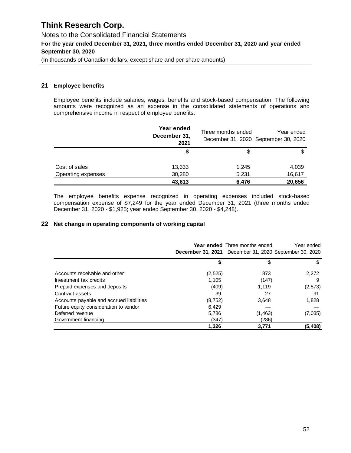Notes to the Consolidated Financial Statements

**For the year ended December 31, 2021, three months ended December 31, 2020 and year ended September 30, 2020** 

(In thousands of Canadian dollars, except share and per share amounts)

### **21 Employee benefits**

Employee benefits include salaries, wages, benefits and stock-based compensation. The following amounts were recognized as an expense in the consolidated statements of operations and comprehensive income in respect of employee benefits:

|                    | Year ended<br>December 31,<br>2021 | Three months ended | Year ended<br>December 31, 2020 September 30, 2020 |
|--------------------|------------------------------------|--------------------|----------------------------------------------------|
|                    | S                                  |                    | \$                                                 |
| Cost of sales      | 13,333                             | 1,245              | 4,039                                              |
| Operating expenses | 30,280                             | 5,231              | 16,617                                             |
|                    | 43,613                             | 6,476              | 20,656                                             |

The employee benefits expense recognized in operating expenses included stock-based compensation expense of \$7,249 for the year ended December 31, 2021 (three months ended December 31, 2020 - \$1,925; year ended September 30, 2020 - \$4,248).

### **22 Net change in operating components of working capital**

|                                          | <b>December 31, 2021</b> December 31, 2020 September 30, 2020 | <b>Year ended</b> Three months ended | Year ended |
|------------------------------------------|---------------------------------------------------------------|--------------------------------------|------------|
|                                          | \$                                                            | \$                                   |            |
| Accounts receivable and other            | (2,525)                                                       | 873                                  | 2,272      |
| Investment tax credits                   | 1,105                                                         | (147)                                | 9          |
| Prepaid expenses and deposits            | (409)                                                         | 1,119                                | (2, 573)   |
| Contract assets                          | 39                                                            | 27                                   | 91         |
| Accounts payable and accrued liabilities | (8, 752)                                                      | 3,648                                | 1,828      |
| Future equity consideration to vendor    | 6.429                                                         |                                      |            |
| Deferred revenue                         | 5,786                                                         | (1, 463)                             | (7,035)    |
| Government financing                     | (347)                                                         | (286)                                |            |
|                                          | 1.326                                                         | 3.771                                | (5, 408)   |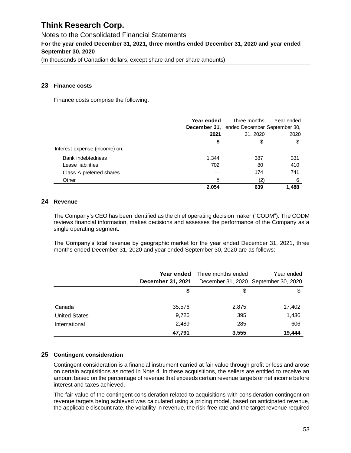Notes to the Consolidated Financial Statements

**For the year ended December 31, 2021, three months ended December 31, 2020 and year ended September 30, 2020** 

(In thousands of Canadian dollars, except share and per share amounts)

### **23 Finance costs**

Finance costs comprise the following:

|                               | Year ended | Three months                                     | Year ended |
|-------------------------------|------------|--------------------------------------------------|------------|
|                               |            | <b>December 31.</b> ended December September 30. |            |
|                               | 2021       | 31, 2020                                         | 2020       |
|                               | \$         | \$                                               | \$         |
| Interest expense (income) on: |            |                                                  |            |
| <b>Bank indebtedness</b>      | 1,344      | 387                                              | 331        |
| Lease liabilities             | 702        | 80                                               | 410        |
| Class A preferred shares      |            | 174                                              | 741        |
| Other                         | 8          | (2)                                              | 6          |
|                               | 2,054      | 639                                              | 1.488      |

### **24 Revenue**

The Company's CEO has been identified as the chief operating decision maker ("CODM"). The CODM reviews financial information, makes decisions and assesses the performance of the Company as a single operating segment.

The Company's total revenue by geographic market for the year ended December 31, 2021, three months ended December 31, 2020 and year ended September 30, 2020 are as follows:

|                      | Year ended<br>December 31, 2021 | Three months ended | Year ended<br>December 31, 2020 September 30, 2020 |
|----------------------|---------------------------------|--------------------|----------------------------------------------------|
|                      | \$                              | S                  |                                                    |
| Canada               | 35,576                          | 2,875              | 17,402                                             |
| <b>United States</b> | 9,726                           | 395                | 1,436                                              |
| International        | 2,489                           | 285                | 606                                                |
|                      | 47,791                          | 3,555              | 19,444                                             |

### **25 Contingent consideration**

Contingent consideration is a financial instrument carried at fair value through profit or loss and arose on certain acquisitions as noted in Note 4. In these acquisitions, the sellers are entitled to receive an amount based on the percentage of revenue that exceeds certain revenue targets or net income before interest and taxes achieved.

The fair value of the contingent consideration related to acquisitions with consideration contingent on revenue targets being achieved was calculated using a pricing model, based on anticipated revenue, the applicable discount rate, the volatility in revenue, the risk-free rate and the target revenue required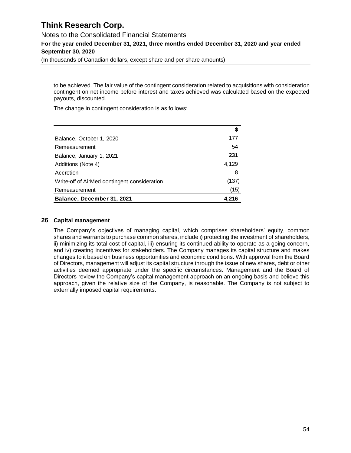Notes to the Consolidated Financial Statements

**For the year ended December 31, 2021, three months ended December 31, 2020 and year ended September 30, 2020** 

(In thousands of Canadian dollars, except share and per share amounts)

to be achieved. The fair value of the contingent consideration related to acquisitions with consideration contingent on net income before interest and taxes achieved was calculated based on the expected payouts, discounted.

The change in contingent consideration is as follows:

|                                              | S     |
|----------------------------------------------|-------|
| Balance, October 1, 2020                     | 177   |
| Remeasurement                                | 54    |
| Balance, January 1, 2021                     | 231   |
| Additions (Note 4)                           | 4,129 |
| Accretion                                    | 8     |
| Write-off of AirMed contingent consideration | (137) |
| Remeasurement                                | (15)  |
| Balance, December 31, 2021                   | 4.216 |

### **26 Capital management**

The Company's objectives of managing capital, which comprises shareholders' equity, common shares and warrants to purchase common shares, include i) protecting the investment of shareholders, ii) minimizing its total cost of capital, iii) ensuring its continued ability to operate as a going concern, and iv) creating incentives for stakeholders. The Company manages its capital structure and makes changes to it based on business opportunities and economic conditions. With approval from the Board of Directors, management will adjust its capital structure through the issue of new shares, debt or other activities deemed appropriate under the specific circumstances. Management and the Board of Directors review the Company's capital management approach on an ongoing basis and believe this approach, given the relative size of the Company, is reasonable. The Company is not subject to externally imposed capital requirements.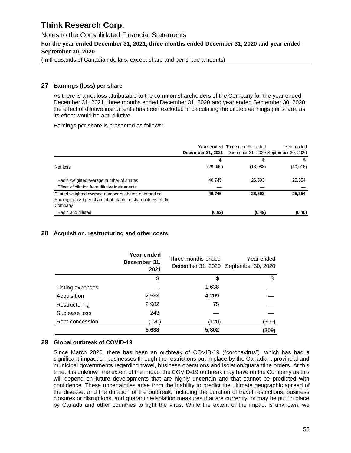Notes to the Consolidated Financial Statements

**For the year ended December 31, 2021, three months ended December 31, 2020 and year ended September 30, 2020** 

(In thousands of Canadian dollars, except share and per share amounts)

### **27 Earnings (loss) per share**

As there is a net loss attributable to the common shareholders of the Company for the year ended December 31, 2021, three months ended December 31, 2020 and year ended September 30, 2020, the effect of dilutive instruments has been excluded in calculating the diluted earnings per share, as its effect would be anti-dilutive.

Earnings per share is presented as follows:

|                                                                                                                        | December 31, 2021 December 31, 2020 September 30, 2020 | <b>Year ended</b> Three months ended | Year ended |
|------------------------------------------------------------------------------------------------------------------------|--------------------------------------------------------|--------------------------------------|------------|
|                                                                                                                        | \$                                                     |                                      |            |
| Net loss                                                                                                               | (29, 049)                                              | (13,088)                             | (10,016)   |
| Basic weighted average number of shares                                                                                | 46.745                                                 | 26.593                               | 25,354     |
| Effect of dilution from dilutive instruments                                                                           |                                                        |                                      |            |
| Diluted weighted average number of shares outstanding<br>Earnings (loss) per share attributable to shareholders of the | 46.745                                                 | 26,593                               | 25,354     |
| Company                                                                                                                |                                                        |                                      |            |
| Basic and diluted                                                                                                      | (0.62)                                                 | (0.49)                               | (0.40)     |

## **28 Acquisition, restructuring and other costs**

|                  | Year ended<br>December 31,<br>2021 | Three months ended | Year ended<br>December 31, 2020 September 30, 2020 |
|------------------|------------------------------------|--------------------|----------------------------------------------------|
|                  | \$                                 | \$                 | \$                                                 |
| Listing expenses |                                    | 1,638              |                                                    |
| Acquisition      | 2,533                              | 4,209              |                                                    |
| Restructuring    | 2,982                              | 75                 |                                                    |
| Sublease loss    | 243                                |                    |                                                    |
| Rent concession  | (120)                              | (120)              | (309)                                              |
|                  | 5,638                              | 5,802              | (309)                                              |

### **29 Global outbreak of COVID-19**

Since March 2020, there has been an outbreak of COVID-19 ("coronavirus"), which has had a significant impact on businesses through the restrictions put in place by the Canadian, provincial and municipal governments regarding travel, business operations and isolation/quarantine orders. At this time, it is unknown the extent of the impact the COVID-19 outbreak may have on the Company as this will depend on future developments that are highly uncertain and that cannot be predicted with confidence. These uncertainties arise from the inability to predict the ultimate geographic spread of the disease, and the duration of the outbreak, including the duration of travel restrictions, business closures or disruptions, and quarantine/isolation measures that are currently, or may be put, in place by Canada and other countries to fight the virus. While the extent of the impact is unknown, we